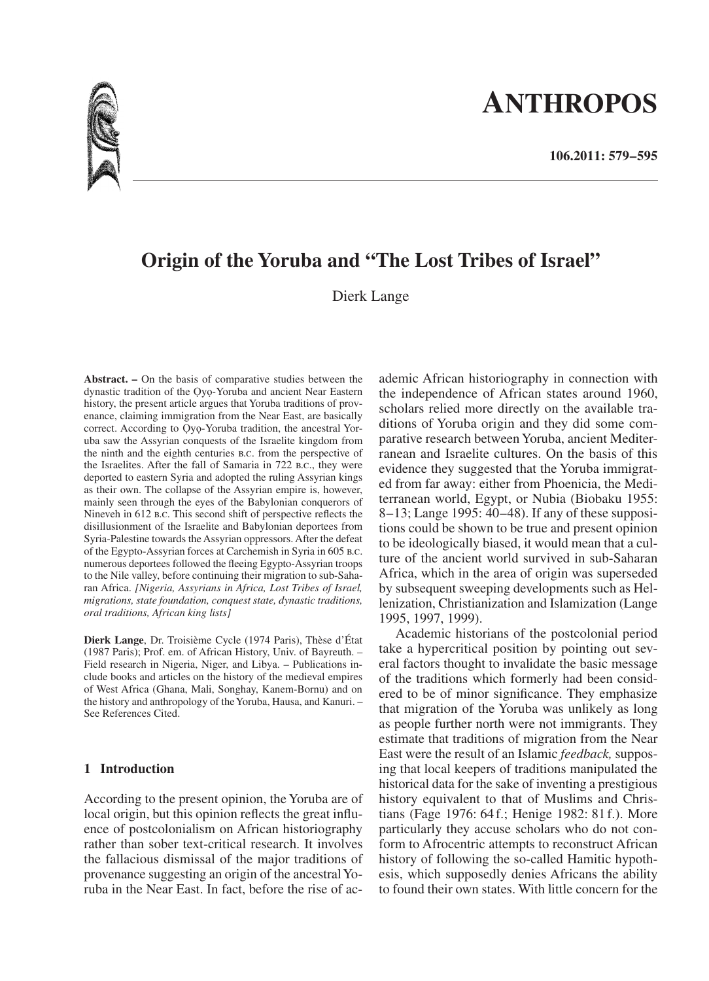# **ANTHROPOS**

# **Origin of the Yoruba and "The Lost Tribes of Israel"**

Dierk Lange

**Abstract. –** On the basis of comparative studies between the dynastic tradition of the Ọyọ-Yoruba and ancient Near Eastern history, the present article argues that Yoruba traditions of provenance, claiming immigration from the Near East, are basically correct. According to Ọyọ-Yoruba tradition, the ancestral Yoruba saw the Assyrian conquests of the Israelite kingdom from the ninth and the eighth centuries b.c. from the perspective of the Israelites. After the fall of Samaria in 722 b.c., they were deported to eastern Syria and adopted the ruling Assyrian kings as their own. The collapse of the Assyrian empire is, however, mainly seen through the eyes of the Babylonian conquerors of Nineveh in 612 b.c. This second shift of perspective reflects the disillusionment of the Israelite and Babylonian deportees from Syria-Palestine towards the Assyrian oppressors. After the defeat of the Egypto-Assyrian forces at Carchemish in Syria in 605 b.c. numerous deportees followed the fleeing Egypto-Assyrian troops to the Nile valley, before continuing their migration to sub-Saharan Africa. *[Nigeria, Assyrians in Africa, Lost Tribes of Israel, migrations, state foundation, conquest state, dynastic traditions, oral traditions, African king lists]*

**Dierk Lange**, Dr. Troisième Cycle (1974 Paris), Thèse d'État (1987 Paris); Prof. em. of African History, Univ. of Bayreuth. – Field research in Nigeria, Niger, and Libya. – Publications include books and articles on the history of the medieval empires of West Africa (Ghana, Mali, Songhay, Kanem-Bornu) and on the history and anthropology of the Yoruba, Hausa, and Kanuri. – See References Cited.

# **1 Introduction**

According to the present opinion, the Yoruba are of local origin, but this opinion reflects the great influence of postcolonialism on African historiography rather than sober text-critical research. It involves the fallacious dismissal of the major traditions of provenance suggesting an origin of the ancestral Yoruba in the Near East. In fact, before the rise of ac-

ademic African historiography in connection with the independence of African states around 1960, scholars relied more directly on the available traditions of Yoruba origin and they did some comparative research between Yoruba, ancient Mediterranean and Israelite cultures. On the basis of this evidence they suggested that the Yoruba immigrated from far away: either from Phoenicia, the Mediterranean world, Egypt, or Nubia (Biobaku 1955: 8–13; Lange 1995: 40–48). If any of these suppositions could be shown to be true and present opinion to be ideologically biased, it would mean that a culture of the ancient world survived in sub-Saharan Africa, which in the area of origin was superseded by subsequent sweeping developments such as Hellenization, Christianization and Islamization (Lange 1995, 1997, 1999).

Academic historians of the postcolonial period take a hypercritical position by pointing out several factors thought to invalidate the basic message of the traditions which formerly had been considered to be of minor significance. They emphasize that migration of the Yoruba was unlikely as long as people further north were not immigrants. They estimate that traditions of migration from the Near East were the result of an Islamic *feedback,* supposing that local keepers of traditions manipulated the historical data for the sake of inventing a prestigious history equivalent to that of Muslims and Christians (Fage 1976: 64 f.; Henige 1982: 81 f.). More particularly they accuse scholars who do not conform to Afrocentric attempts to reconstruct African history of following the so-called Hamitic hypothesis, which supposedly denies Africans the ability to found their own states. With little concern for the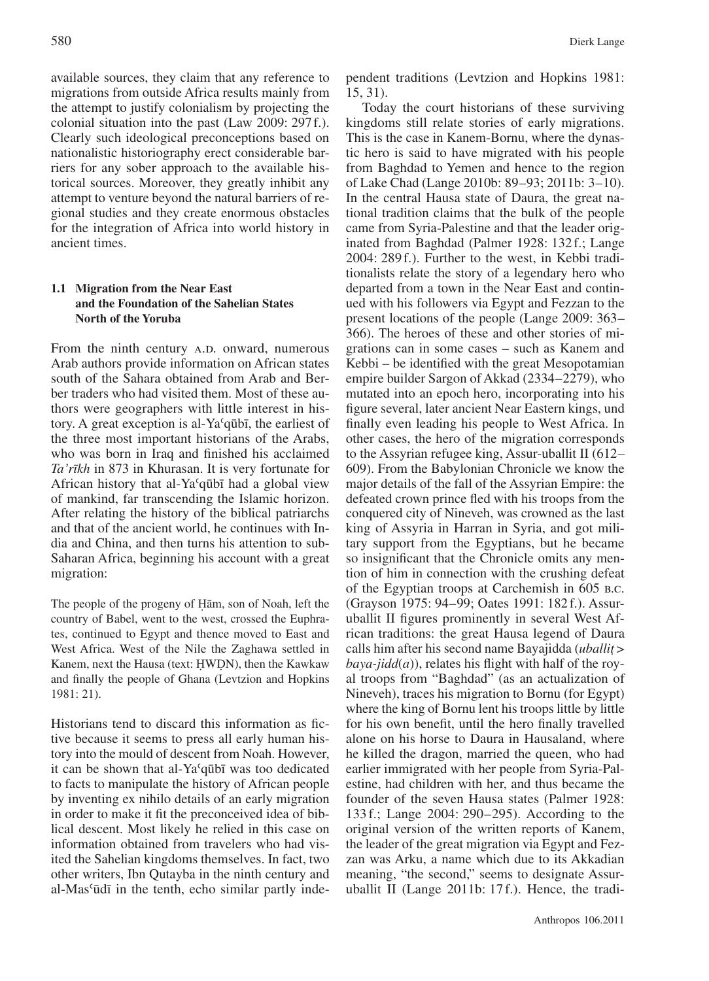available sources, they claim that any reference to migrations from outside Africa results mainly from the attempt to justify colonialism by projecting the colonial situation into the past (Law 2009: 297 f.). Clearly such ideological preconceptions based on nationalistic historiography erect considerable barriers for any sober approach to the available historical sources. Moreover, they greatly inhibit any attempt to venture beyond the natural barriers of regional studies and they create enormous obstacles for the integration of Africa into world history in ancient times.

# **1.1 Migration from the Near East and the Foundation of the Sahelian States North of the Yoruba**

From the ninth century A.D. onward, numerous Arab authors provide information on African states south of the Sahara obtained from Arab and Berber traders who had visited them. Most of these authors were geographers with little interest in history. A great exception is al-Yaʿqūbī, the earliest of the three most important historians of the Arabs, who was born in Iraq and finished his acclaimed *Ta'rīkh* in 873 in Khurasan. It is very fortunate for African history that al-Yaʿqūbī had a global view of mankind, far transcending the Islamic horizon. After relating the history of the biblical patriarchs and that of the ancient world, he continues with India and China, and then turns his attention to sub-Saharan Africa, beginning his account with a great migration:

The people of the progeny of H ām, son of Noah, left the ˙ country of Babel, went to the west, crossed the Euphrates, continued to Egypt and thence moved to East and West Africa. West of the Nile the Zaghawa settled in Kanem, next the Hausa (text: H WD N), then the Kawkaw and finally the people of Ghana (Levtzion and Hopkins 1981: 21).

Historians tend to discard this information as fictive because it seems to press all early human history into the mould of descent from Noah. However, it can be shown that al-Yaʿqūbī was too dedicated to facts to manipulate the history of African people by inventing ex nihilo details of an early migration in order to make it fit the preconceived idea of biblical descent. Most likely he relied in this case on information obtained from travelers who had visited the Sahelian kingdoms themselves. In fact, two other writers, Ibn Qutayba in the ninth century and al-Masʿūdī in the tenth, echo similar partly independent traditions (Levtzion and Hopkins 1981: 15, 31).

Today the court historians of these surviving kingdoms still relate stories of early migrations. This is the case in Kanem-Bornu, where the dynastic hero is said to have migrated with his people from Baghdad to Yemen and hence to the region of Lake Chad (Lange 2010b: 89–93; 2011b: 3–10). In the central Hausa state of Daura, the great national tradition claims that the bulk of the people came from Syria-Palestine and that the leader originated from Baghdad (Palmer 1928: 132 f.; Lange 2004: 289 f.). Further to the west, in Kebbi traditionalists relate the story of a legendary hero who departed from a town in the Near East and continued with his followers via Egypt and Fezzan to the present locations of the people (Lange 2009: 363– 366). The heroes of these and other stories of migrations can in some cases – such as Kanem and Kebbi – be identified with the great Mesopotamian empire builder Sargon of Akkad (2334–2279), who mutated into an epoch hero, incorporating into his figure several, later ancient Near Eastern kings, und finally even leading his people to West Africa. In other cases, the hero of the migration corresponds to the Assyrian refugee king, Assur-uballit II (612– 609). From the Babylonian Chronicle we know the major details of the fall of the Assyrian Empire: the defeated crown prince fled with his troops from the conquered city of Nineveh, was crowned as the last king of Assyria in Harran in Syria, and got military support from the Egyptians, but he became so insignificant that the Chronicle omits any mention of him in connection with the crushing defeat of the Egyptian troops at Carchemish in 605 b.c. (Grayson 1975: 94–99; Oates 1991: 182f.). Assuruballit II figures prominently in several West African traditions: the great Hausa legend of Daura calls him after his second name Bayajidda (*uballit*  $>$  hava-*iidd(a*)) relates his flight with half of the roy $baya$ -jidd(a)), relates his flight with half of the royal troops from "Baghdad" (as an actualization of Nineveh), traces his migration to Bornu (for Egypt) where the king of Bornu lent his troops little by little for his own benefit, until the hero finally travelled alone on his horse to Daura in Hausaland, where he killed the dragon, married the queen, who had earlier immigrated with her people from Syria-Palestine, had children with her, and thus became the founder of the seven Hausa states (Palmer 1928: 133 f.; Lange 2004: 290– 295). According to the original version of the written reports of Kanem, the leader of the great migration via Egypt and Fezzan was Arku, a name which due to its Akkadian meaning, "the second," seems to designate Assuruballit II (Lange 2011b: 17 f.). Hence, the tradi-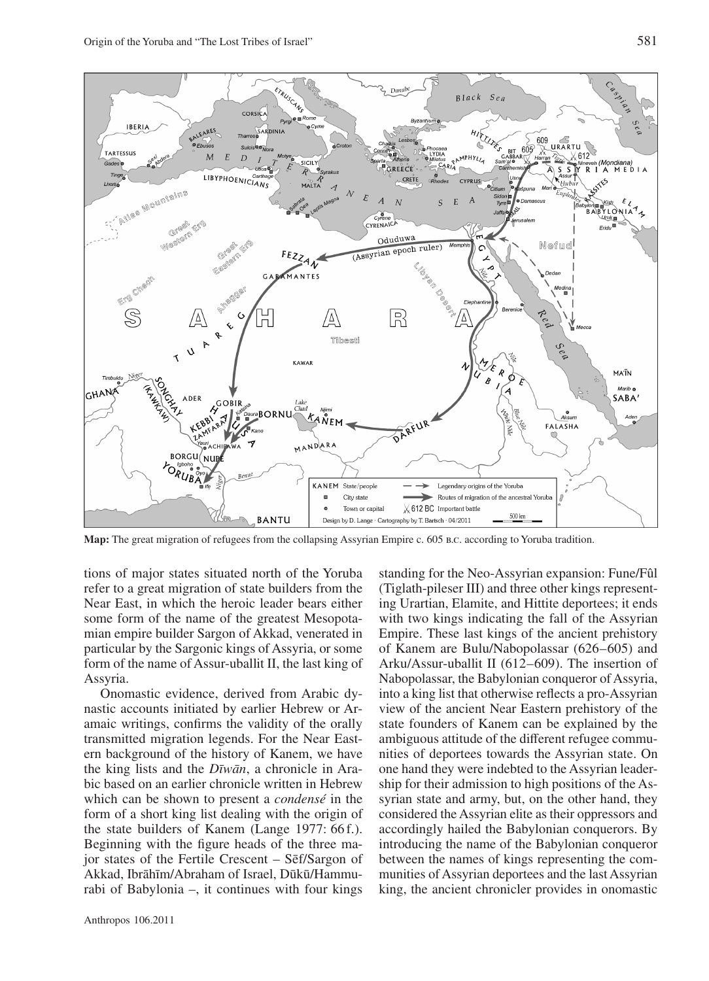

**Map:** The great migration of refugees from the collapsing Assyrian Empire c. 605 b.c. according to Yoruba tradition.

tions of major states situated north of the Yoruba refer to a great migration of state builders from the Near East, in which the heroic leader bears either some form of the name of the greatest Mesopotamian empire builder Sargon of Akkad, venerated in particular by the Sargonic kings of Assyria, or some form of the name of Assur-uballit II, the last king of Assyria.

Onomastic evidence, derived from Arabic dynastic accounts initiated by earlier Hebrew or Aramaic writings, confirms the validity of the orally transmitted migration legends. For the Near Eastern background of the history of Kanem, we have the king lists and the *Dīwān*, a chronicle in Arabic based on an earlier chronicle written in Hebrew which can be shown to present a *condensé* in the form of a short king list dealing with the origin of the state builders of Kanem (Lange 1977: 66f.). Beginning with the figure heads of the three major states of the Fertile Crescent – Sēf/Sargon of Akkad, Ibrāhīm/Abraham of Israel, Dūkū/Hammurabi of Babylonia –, it continues with four kings standing for the Neo-Assyrian expansion: Fune/Fûl (Tiglath-pileser III) and three other kings representing Urartian, Elamite, and Hittite deportees; it ends with two kings indicating the fall of the Assyrian Empire. These last kings of the ancient prehistory of Kanem are Bulu/Nabopolassar (626–605) and Arku/Assur-uballit II (612–609). The insertion of Nabopolassar, the Babylonian conqueror of Assyria, into a king list that otherwise reflects a pro-Assyrian view of the ancient Near Eastern prehistory of the state founders of Kanem can be explained by the ambiguous attitude of the different refugee communities of deportees towards the Assyrian state. On one hand they were indebted to the Assyrian leadership for their admission to high positions of the Assyrian state and army, but, on the other hand, they considered the Assyrian elite as their oppressors and accordingly hailed the Babylonian conquerors. By introducing the name of the Babylonian conqueror between the names of kings representing the communities of Assyrian deportees and the last Assyrian king, the ancient chronicler provides in onomastic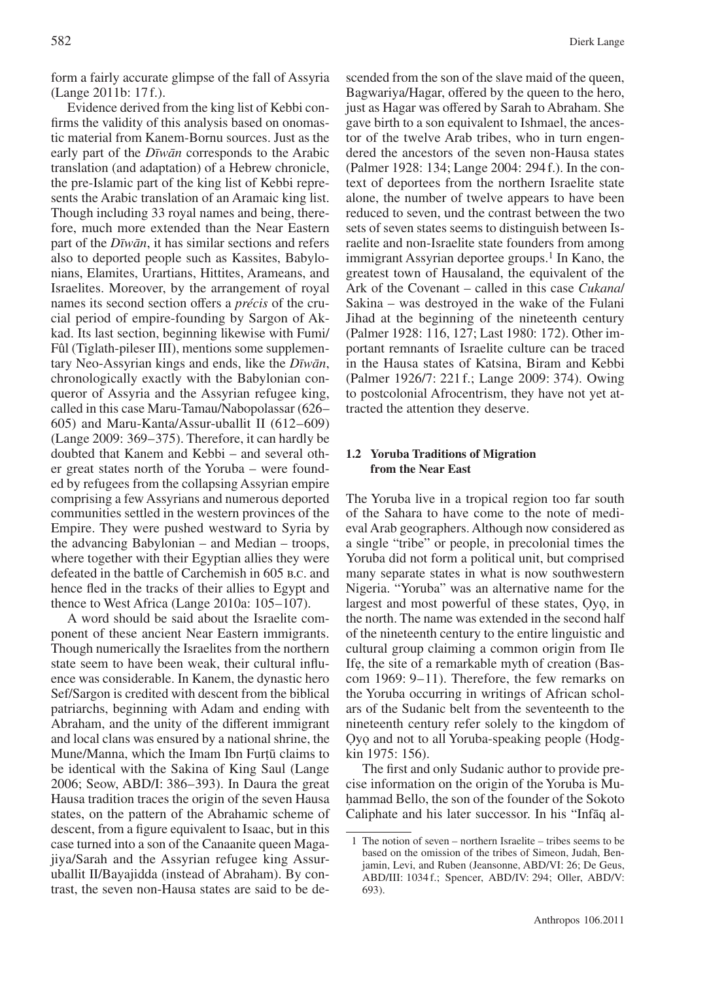form a fairly accurate glimpse of the fall of Assyria (Lange 2011b: 17f.).

Evidence derived from the king list of Kebbi confirms the validity of this analysis based on onomastic material from Kanem-Bornu sources. Just as the early part of the *Dīwān* corresponds to the Arabic translation (and adaptation) of a Hebrew chronicle, the pre-Islamic part of the king list of Kebbi represents the Arabic translation of an Aramaic king list. Though including 33 royal names and being, therefore, much more extended than the Near Eastern part of the *Dīwān*, it has similar sections and refers also to deported people such as Kassites, Babylonians, Elamites, Urartians, Hittites, Arameans, and Israelites. Moreover, by the arrangement of royal names its second section offers a *précis* of the crucial period of empire-founding by Sargon of Akkad. Its last section, beginning likewise with Fumi/ Fûl (Tiglath-pileser III), mentions some supplementary Neo-Assyrian kings and ends, like the *Dīwān*, chronologically exactly with the Babylonian conqueror of Assyria and the Assyrian refugee king, called in this case Maru-Tamau/Nabopolassar (626– 605) and Maru-Kanta/Assur-uballit II  $(612-609)$ (Lange  $2009: 369-375$ ). Therefore, it can hardly be doubted that Kanem and Kebbi – and several other great states north of the Yoruba – were founded by refugees from the collapsing Assyrian empire comprising a few Assyrians and numerous deported communities settled in the western provinces of the Empire. They were pushed westward to Syria by the advancing Babylonian – and Median – troops, where together with their Egyptian allies they were defeated in the battle of Carchemish in 605 b.c. and hence fled in the tracks of their allies to Egypt and thence to West Africa (Lange 2010a:  $105-107$ ).

A word should be said about the Israelite component of these ancient Near Eastern immigrants. Though numerically the Israelites from the northern state seem to have been weak, their cultural influence was considerable. In Kanem, the dynastic hero Sef/Sargon is credited with descent from the biblical patriarchs, beginning with Adam and ending with Abraham, and the unity of the different immigrant and local clans was ensured by a national shrine, the Mune/Manna, which the Imam Ibn Furt $\bar{u}$  claims to be identical with the Sakina of King Saul (Lange be identical with the Sakina of King Saul (Lange 2006; Seow, ABD/I: 386– 393). In Daura the great Hausa tradition traces the origin of the seven Hausa states, on the pattern of the Abrahamic scheme of descent, from a figure equivalent to Isaac, but in this case turned into a son of the Canaanite queen Magajiya/Sarah and the Assyrian refugee king Assuruballit II/Bayajidda (instead of Abraham). By contrast, the seven non-Hausa states are said to be descended from the son of the slave maid of the queen, Bagwariya/Hagar, offered by the queen to the hero, just as Hagar was offered by Sarah to Abraham. She gave birth to a son equivalent to Ishmael, the ancestor of the twelve Arab tribes, who in turn engendered the ancestors of the seven non-Hausa states (Palmer 1928: 134; Lange 2004: 294f.). In the context of deportees from the northern Israelite state alone, the number of twelve appears to have been reduced to seven, und the contrast between the two sets of seven states seems to distinguish between Israelite and non-Israelite state founders from among immigrant Assyrian deportee groups.<sup>1</sup> In Kano, the greatest town of Hausaland, the equivalent of the Ark of the Covenant – called in this case *Cukana*/ Sakina – was destroyed in the wake of the Fulani Jihad at the beginning of the nineteenth century (Palmer 1928: 116, 127; Last 1980: 172). Other important remnants of Israelite culture can be traced in the Hausa states of Ƙatsina, Biram and Kebbi (Palmer 1926/7: 221 f.; Lange 2009: 374). Owing to postcolonial Afrocentrism, they have not yet attracted the attention they deserve.

# **1.2 Yoruba Traditions of Migration from the Near East**

The Yoruba live in a tropical region too far south of the Sahara to have come to the note of medieval Arab geographers. Although now considered as a single "tribe" or people, in precolonial times the Yoruba did not form a political unit, but comprised many separate states in what is now southwestern Nigeria. "Yoruba" was an alternative name for the largest and most powerful of these states, Ọyọ, in the north. The name was extended in the second half of the nineteenth century to the entire linguistic and cultural group claiming a common origin from Ile Ifẹ, the site of a remarkable myth of creation (Bascom 1969:  $9-11$ ). Therefore, the few remarks on the Yoruba occurring in writings of African scholars of the Sudanic belt from the seventeenth to the nineteenth century refer solely to the kingdom of Ọyọ and not to all Yoruba-speaking people (Hodgkin 1975: 156).

The first and only Sudanic author to provide precise information on the origin of the Yoruba is Muh ammad Bello, the son of the founder of the Sokoto ˙ Caliphate and his later successor. In his "Infāq al-

<sup>1</sup> The notion of seven – northern Israelite – tribes seems to be based on the omission of the tribes of Simeon, Judah, Benjamin, Levi, and Ruben (Jeansonne, ABD/VI: 26; De Geus, ABD/III: 1034 f.; Spencer, ABD/IV: 294; Oller, ABD/V: 693).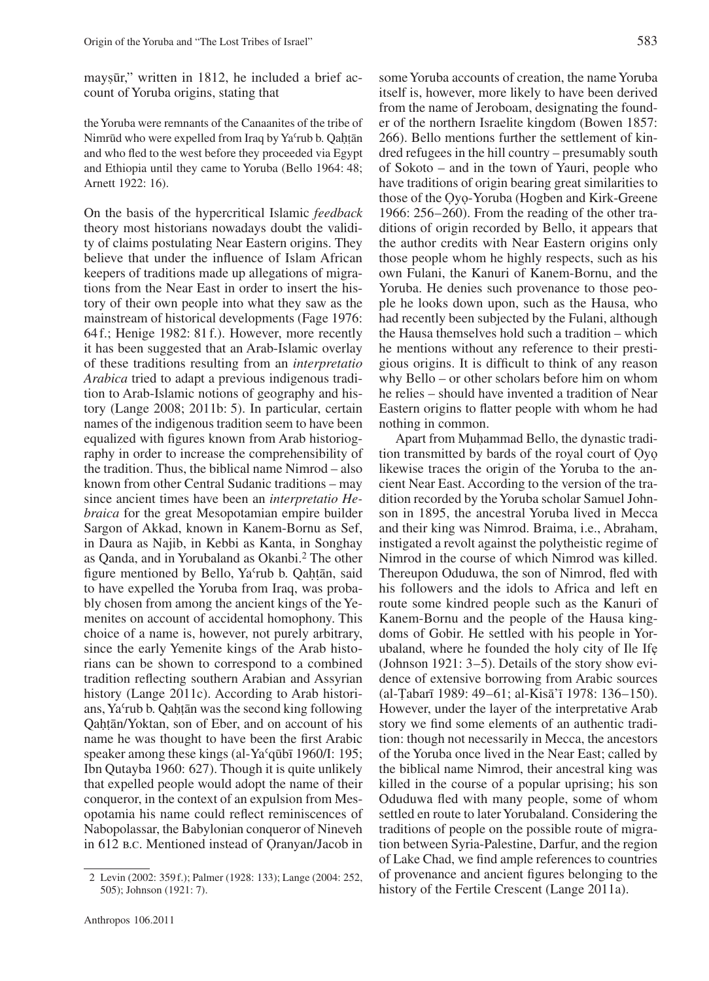maysūr," written in 1812, he included a brief ac-<br>count of Yoruba origins, stating that count of Yoruba origins, stating that

the Yoruba were remnants of the Canaanites of the tribe of Nimrūd who were expelled from Iraq by Yaʿrub b. Qah t ān and who fled to the west before they proceeded via Egypt and Ethiopia until they came to Yoruba (Bello 1964: 48; Arnett 1922: 16).

On the basis of the hypercritical Islamic *feedback* theory most historians nowadays doubt the validity of claims postulating Near Eastern origins. They believe that under the influence of Islam African keepers of traditions made up allegations of migrations from the Near East in order to insert the history of their own people into what they saw as the mainstream of historical developments (Fage 1976: 64f.; Henige 1982: 81f.). However, more recently it has been suggested that an Arab-Islamic overlay of these traditions resulting from an *interpretatio Arabica* tried to adapt a previous indigenous tradition to Arab-Islamic notions of geography and history (Lange 2008; 2011b: 5). In particular, certain names of the indigenous tradition seem to have been equalized with figures known from Arab historiography in order to increase the comprehensibility of the tradition. Thus, the biblical name Nimrod – also known from other Central Sudanic traditions – may since ancient times have been an *interpretatio Hebraica* for the great Mesopotamian empire builder Sargon of Akkad, known in Kanem-Bornu as Sef, in Daura as Najib, in Kebbi as Kanta, in Songhay as Qanda, and in Yorubaland as Okanbi.2 The other figure mentioned by Bello, Ya'rub b. Qaḥṭān, said<br>to have expelled the Yoruba from Iraq, was proba-˙ to have expelled the Yoruba from Iraq, was probably chosen from among the ancient kings of the Yemenites on account of accidental homophony. This choice of a name is, however, not purely arbitrary, since the early Yemenite kings of the Arab historians can be shown to correspond to a combined tradition reflecting southern Arabian and Assyrian history (Lange 2011c). According to Arab historians, Ya'rub b. Qaḥṭān was the second king following<br>Qaḥṭān/Yokṭan, son of Eber, and on account of bis ˙ Qah˙ t ān/Yoktan, son of Eber, and on account of his ˙ name he was thought to have been the first Arabic speaker among these kings (al-Yaʿqūbī 1960/I: 195; Ibn Qutayba 1960: 627). Though it is quite unlikely that expelled people would adopt the name of their conqueror, in the context of an expulsion from Mesopotamia his name could reflect reminiscences of Nabopolassar, the Babylonian conqueror of Nineveh in 612 b.c. Mentioned instead of Ọranyan/Jacob in

some Yoruba accounts of creation, the name Yoruba itself is, however, more likely to have been derived from the name of Jeroboam, designating the founder of the northern Israelite kingdom (Bowen 1857: 266). Bello mentions further the settlement of kindred refugees in the hill country – presumably south of Sokoto – and in the town of Yauri, people who have traditions of origin bearing great similarities to those of the Ọyọ-Yoruba (Hogben and Kirk-Greene 1966:  $256-260$ ). From the reading of the other traditions of origin recorded by Bello, it appears that the author credits with Near Eastern origins only those people whom he highly respects, such as his own Fulani, the Kanuri of Kanem-Bornu, and the Yoruba. He denies such provenance to those people he looks down upon, such as the Hausa, who had recently been subjected by the Fulani, although the Hausa themselves hold such a tradition – which he mentions without any reference to their prestigious origins. It is difficult to think of any reason why Bello – or other scholars before him on whom he relies – should have invented a tradition of Near Eastern origins to flatter people with whom he had

nothing in common. Apart from Muhammad Bello, the dynastic tradi-<br>a transmitted by bards of the royal court of Ovo tion transmitted by bards of the royal court of Ọyọ likewise traces the origin of the Yoruba to the ancient Near East. According to the version of the tradition recorded by the Yoruba scholar Samuel Johnson in 1895, the ancestral Yoruba lived in Mecca and their king was Nimrod. Braima, i.e., Abraham, instigated a revolt against the polytheistic regime of Nimrod in the course of which Nimrod was killed. Thereupon Oduduwa, the son of Nimrod, fled with his followers and the idols to Africa and left en route some kindred people such as the Kanuri of Kanem-Bornu and the people of the Hausa kingdoms of Gobir. He settled with his people in Yorubaland, where he founded the holy city of Ile Ifẹ (Johnson 1921:  $3-5$ ). Details of the story show evidence of extensive borrowing from Arabic sources (al-Țabarī 1989: 49–61; al-Kisā'ī 1978: 136–150).<br>However, under the laver of the interpretative Arab However, under the layer of the interpretative Arab story we find some elements of an authentic tradition: though not necessarily in Mecca, the ancestors of the Yoruba once lived in the Near East; called by the biblical name Nimrod, their ancestral king was killed in the course of a popular uprising; his son Oduduwa fled with many people, some of whom settled en route to later Yorubaland. Considering the traditions of people on the possible route of migration between Syria-Palestine, Darfur, and the region of Lake Chad, we find ample references to countries of provenance and ancient figures belonging to the history of the Fertile Crescent (Lange 2011a).

<sup>2</sup> Levin (2002: 359f.); Palmer (1928: 133); Lange (2004: 252, 505); Johnson (1921: 7).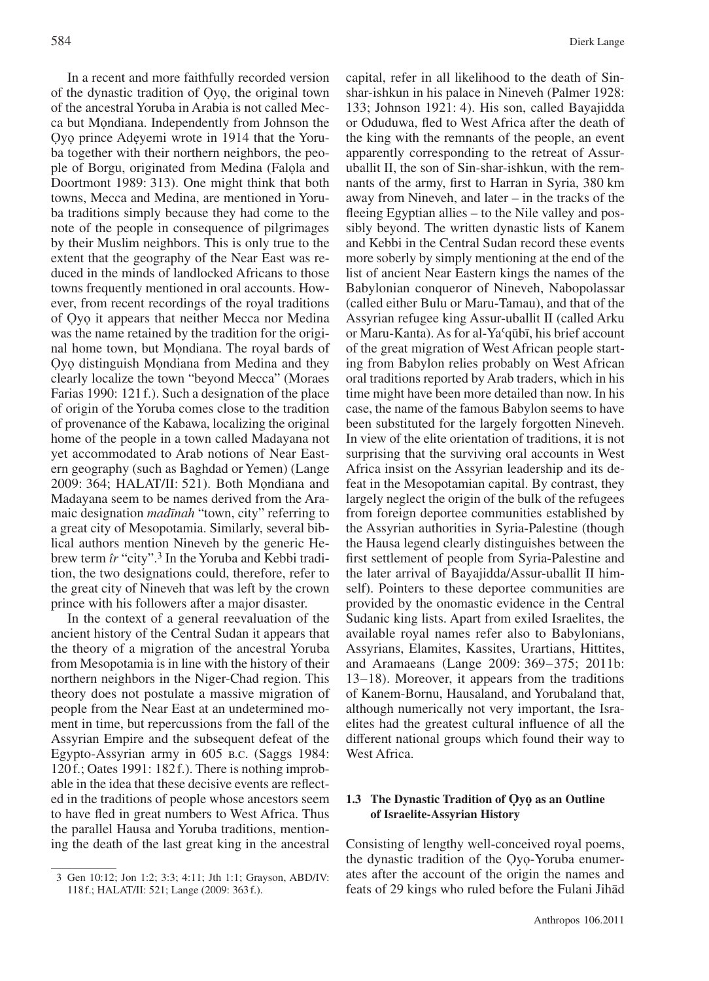In a recent and more faithfully recorded version of the dynastic tradition of Ọyọ, the original town of the ancestral Yoruba in Arabia is not called Mecca but Mọndiana. Independently from Johnson the Ọyọ prince Adẹyemi wrote in 1914 that the Yoruba together with their northern neighbors, the people of Borgu, originated from Medina (Falọla and Doortmont 1989: 313). One might think that both towns, Mecca and Medina, are mentioned in Yoruba traditions simply because they had come to the note of the people in consequence of pilgrimages by their Muslim neighbors. This is only true to the extent that the geography of the Near East was reduced in the minds of landlocked Africans to those towns frequently mentioned in oral accounts. However, from recent recordings of the royal traditions of Ọyọ it appears that neither Mecca nor Medina was the name retained by the tradition for the original home town, but Mọndiana. The royal bards of Ọyọ distinguish Mọndiana from Medina and they clearly localize the town "beyond Mecca" (Moraes Farias 1990: 121f.). Such a designation of the place of origin of the Yoruba comes close to the tradition of provenance of the Kabawa, localizing the original home of the people in a town called Madayana not yet accommodated to Arab notions of Near Eastern geography (such as Baghdad or Yemen) (Lange 2009: 364; HALAT/II: 521). Both Mọndiana and Madayana seem to be names derived from the Aramaic designation *madīnah* "town, city" referring to a great city of Mesopotamia. Similarly, several biblical authors mention Nineveh by the generic Hebrew term *îr* "city".3 In the Yoruba and Kebbi tradition, the two designations could, therefore, refer to the great city of Nineveh that was left by the crown

In the context of a general reevaluation of the ancient history of the Central Sudan it appears that the theory of a migration of the ancestral Yoruba from Mesopotamia is in line with the history of their northern neighbors in the Niger-Chad region. This theory does not postulate a massive migration of people from the Near East at an undetermined moment in time, but repercussions from the fall of the Assyrian Empire and the subsequent defeat of the Egypto-Assyrian army in 605 B.C. (Saggs 1984: 120f.; Oates 1991: 182f.). There is nothing improbable in the idea that these decisive events are reflected in the traditions of people whose ancestors seem to have fled in great numbers to West Africa. Thus the parallel Hausa and Yoruba traditions, mentioning the death of the last great king in the ancestral

prince with his followers after a major disaster.

capital, refer in all likelihood to the death of Sinshar-ishkun in his palace in Nineveh (Palmer 1928: 133; Johnson 1921: 4). His son, called Bayajidda or Oduduwa, fled to West Africa after the death of the king with the remnants of the people, an event apparently corresponding to the retreat of Assuruballit II, the son of Sin-shar-ishkun, with the remnants of the army, first to Harran in Syria, 380 km away from Nineveh, and later – in the tracks of the fleeing Egyptian allies – to the Nile valley and possibly beyond. The written dynastic lists of Kanem and Kebbi in the Central Sudan record these events more soberly by simply mentioning at the end of the list of ancient Near Eastern kings the names of the Babylonian conqueror of Nineveh, Nabopolassar (called either Bulu or Maru-Tamau), and that of the Assyrian refugee king Assur-uballit II (called Arku or Maru-Kanta). As for al-Yaʿqūbī, his brief account of the great migration of West African people starting from Babylon relies probably on West African oral traditions reported by Arab traders, which in his time might have been more detailed than now. In his case, the name of the famous Babylon seems to have been substituted for the largely forgotten Nineveh. In view of the elite orientation of traditions, it is not surprising that the surviving oral accounts in West Africa insist on the Assyrian leadership and its defeat in the Mesopotamian capital. By contrast, they largely neglect the origin of the bulk of the refugees from foreign deportee communities established by the Assyrian authorities in Syria-Palestine (though the Hausa legend clearly distinguishes between the first settlement of people from Syria-Palestine and the later arrival of Bayajidda/Assur-uballit II himself). Pointers to these deportee communities are provided by the onomastic evidence in the Central Sudanic king lists. Apart from exiled Israelites, the available royal names refer also to Babylonians, Assyrians, Elamites, Kassites, Urartians, Hittites, and Aramaeans (Lange 2009: 369–375; 2011b: 13– 18). Moreover, it appears from the traditions of Kanem-Bornu, Hausaland, and Yorubaland that, although numerically not very important, the Israelites had the greatest cultural influence of all the different national groups which found their way to West Africa.

# **1.3 The Dynastic Tradition of Ọyọ as an Outline of Israelite-Assyrian History**

Consisting of lengthy well-conceived royal poems, the dynastic tradition of the Ọyọ-Yoruba enumerates after the account of the origin the names and feats of 29 kings who ruled before the Fulani Jihād

<sup>3</sup> Gen 10:12; Jon 1:2; 3:3; 4:11; Jth 1:1; Grayson, ABD/IV: 118f.; HALAT/II: 521; Lange (2009: 363f.).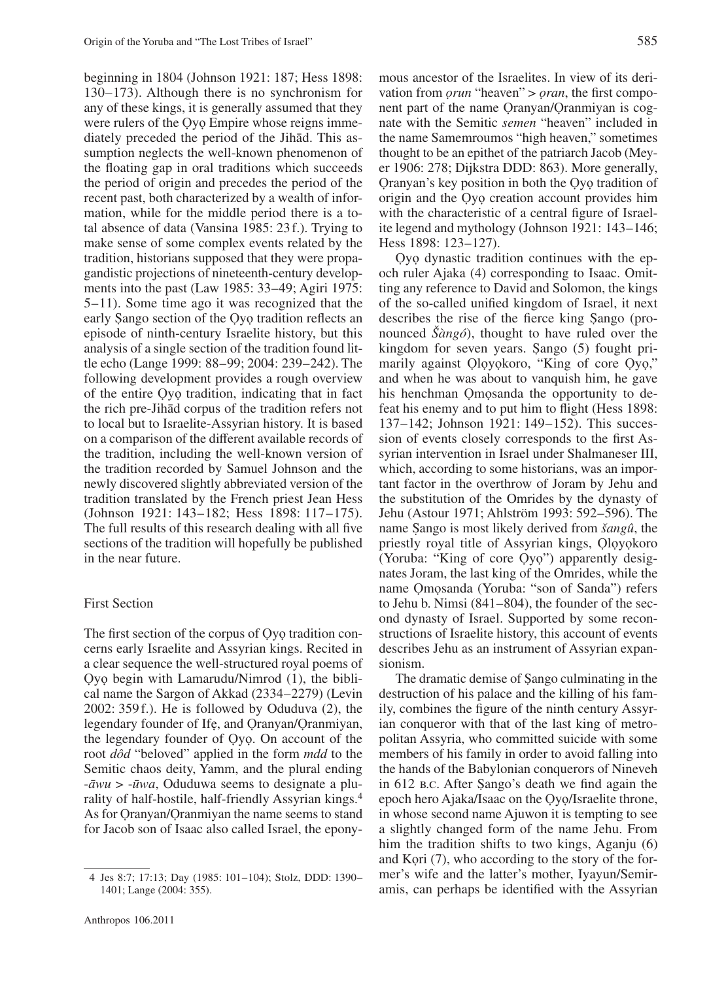beginning in 1804 (Johnson 1921: 187; Hess 1898: 130– 173). Although there is no synchronism for any of these kings, it is generally assumed that they were rulers of the Oyo Empire whose reigns immediately preceded the period of the Jihād. This assumption neglects the well-known phenomenon of the floating gap in oral traditions which succeeds the period of origin and precedes the period of the recent past, both characterized by a wealth of information, while for the middle period there is a total absence of data (Vansina 1985: 23f.). Trying to make sense of some complex events related by the tradition, historians supposed that they were propagandistic projections of nineteenth-century developments into the past (Law 1985: 33–49; Agiri 1975: 5– 11). Some time ago it was recognized that the early Sango section of the Oyo tradition reflects an episode of ninth-century Israelite history, but this episode of ninth-century Israelite history, but this analysis of a single section of the tradition found little echo (Lange 1999: 88–99; 2004: 239–242). The following development provides a rough overview of the entire Ọyọ tradition, indicating that in fact the rich pre-Jihād corpus of the tradition refers not to local but to Israelite-Assyrian history. It is based on a comparison of the different available records of the tradition, including the well-known version of the tradition recorded by Samuel Johnson and the newly discovered slightly abbreviated version of the tradition translated by the French priest Jean Hess (Johnson 1921: 143-182; Hess 1898: 117-175). The full results of this research dealing with all five sections of the tradition will hopefully be published in the near future.

## First Section

The first section of the corpus of Ọyọ tradition concerns early Israelite and Assyrian kings. Recited in a clear sequence the well-structured royal poems of Ọyọ begin with Lamarudu/Nimrod (1), the biblical name the Sargon of Akkad (2334–2279) (Levin  $2002: 359f.$ ). He is followed by Oduduva  $(2)$ , the legendary founder of Ifę, and Qranyan/Qranmiyan, the legendary founder of Ọyọ. On account of the root *dôd* "beloved" applied in the form *mdd* to the Semitic chaos deity, Yamm, and the plural ending -*āwu* > -*ūwa*, Oduduwa seems to designate a plurality of half-hostile, half-friendly Assyrian kings.4 As for Oranyan/Oranmiyan the name seems to stand for Jacob son of Isaac also called Israel, the eponymous ancestor of the Israelites. In view of its derivation from *ọrun* "heaven" > *ọran*, the first component part of the name Ọranyan/Ọranmiyan is cognate with the Semitic *semen* "heaven" included in the name Samemroumos "high heaven," sometimes thought to be an epithet of the patriarch Jacob (Meyer 1906: 278; Dijkstra DDD: 863). More generally, Ọranyan's key position in both the Ọyọ tradition of origin and the Ọyọ creation account provides him with the characteristic of a central figure of Israelite legend and mythology (Johnson 1921: 143– 146; Hess 1898: 123-127).

Ọyọ dynastic tradition continues with the epoch ruler Ajaka (4) corresponding to Isaac. Omitting any reference to David and Solomon, the kings of the so-called unified kingdom of Israel, it next describes the rise of the fierce king Sango (pro-<br>nounced  $\tilde{\chi}_{\alpha}^{2}$  (hought to have ruled over the nounced *Šàngó*), thought to have ruled over the kingdom for seven years. Sango (5) fought pri-<br>marily against Olovokoro. "King of core Ovo." marily against Qloyokoro, "King of core Qyo," and when he was about to vanquish him, he gave his henchman Ọmọsanda the opportunity to defeat his enemy and to put him to flight (Hess 1898: 137–142; Johnson 1921: 149–152). This succession of events closely corresponds to the first Assyrian intervention in Israel under Shalmaneser III, which, according to some historians, was an important factor in the overthrow of Joram by Jehu and the substitution of the Omrides by the dynasty of Jehu (Astour 1971; Ahlström 1993: 592– 596). The name Sango is most likely derived from *šangû*, the priestly royal title of Assyrian kings. Olovokoro priestly royal title of Assyrian kings, Ọlọyọkoro (Yoruba: "King of core Ọyọ") apparently designates Joram, the last king of the Omrides, while the name Ọmọsanda (Yoruba: "son of Sanda") refers to Jehu b. Nimsi  $(841-804)$ , the founder of the second dynasty of Israel. Supported by some reconstructions of Israelite history, this account of events describes Jehu as an instrument of Assyrian expansionism.

The dramatic demise of Sango culminating in the<br>truction of his palace and the killing of his famdestruction of his palace and the killing of his family, combines the figure of the ninth century Assyrian conqueror with that of the last king of metropolitan Assyria, who committed suicide with some members of his family in order to avoid falling into the hands of the Babylonian conquerors of Nineveh in 612 B.C. After Sango's death we find again the enoch hero Aiaka/Isaac on the Ovo/Israelite throne epoch hero Ajaka/Isaac on the Ọyọ/Israelite throne, in whose second name Ajuwon it is tempting to see a slightly changed form of the name Jehu. From him the tradition shifts to two kings, Aganju (6) and Kọri (7), who according to the story of the former's wife and the latter's mother, Iyayun/Semiramis, can perhaps be identified with the Assyrian

<sup>4</sup> Jes 8:7; 17:13; Day (1985: 101– 104); Stolz, DDD: 1390– 1401; Lange (2004: 355).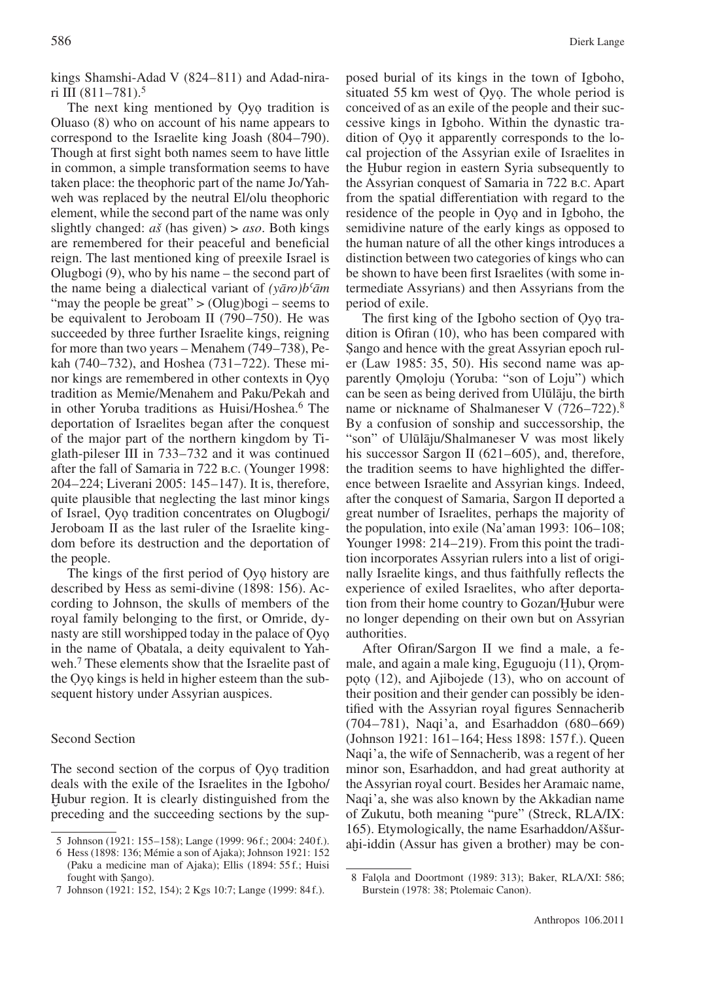kings Shamshi-Adad V (824–811) and Adad-nirari III  $(811 - 781)$ .<sup>5</sup>

The next king mentioned by Ọyọ tradition is Oluaso (8) who on account of his name appears to correspond to the Israelite king Joash (804–790). Though at first sight both names seem to have little in common, a simple transformation seems to have taken place: the theophoric part of the name Jo/Yahweh was replaced by the neutral El/olu theophoric element, while the second part of the name was only slightly changed: *aš* (has given) > *aso*. Both kings are remembered for their peaceful and beneficial reign. The last mentioned king of preexile Israel is Olugbogi (9), who by his name – the second part of the name being a dialectical variant of *(yāro)bʿām* "may the people be great"  $>(Olug)$  bogi – seems to be equivalent to Jeroboam II (790–750). He was succeeded by three further Israelite kings, reigning for more than two years – Menahem (749–738), Pekah (740–732), and Hoshea (731–722). These minor kings are remembered in other contexts in Ọyọ tradition as Memie/Menahem and Paku/Pekah and in other Yoruba traditions as Huisi/Hoshea.<sup>6</sup> The deportation of Israelites began after the conquest of the major part of the northern kingdom by Tiglath-pileser III in 733– 732 and it was continued after the fall of Samaria in 722 b.c. (Younger 1998: 204– 224; Liverani 2005: 145– 147). It is, therefore, quite plausible that neglecting the last minor kings of Israel, Ọyọ tradition concentrates on Olugbogi/ Jeroboam II as the last ruler of the Israelite kingdom before its destruction and the deportation of the people.

The kings of the first period of Ọyọ history are described by Hess as semi-divine (1898: 156). According to Johnson, the skulls of members of the royal family belonging to the first, or Omride, dynasty are still worshipped today in the palace of Ọyọ in the name of Obatala, a deity equivalent to Yahweh.7 These elements show that the Israelite past of the Ọyọ kings is held in higher esteem than the subsequent history under Assyrian auspices.

# Second Section

The second section of the corpus of Ọyọ tradition deals with the exile of the Israelites in the Igboho/ Hubur region. It is clearly distinguished from the preceding and the succeeding sections by the supposed burial of its kings in the town of Igboho, situated 55 km west of Ọyọ. The whole period is conceived of as an exile of the people and their successive kings in Igboho. Within the dynastic tradition of Ọyọ it apparently corresponds to the local projection of the Assyrian exile of Israelites in the Ḫubur region in eastern Syria subsequently to the Assyrian conquest of Samaria in 722 b.c. Apart from the spatial differentiation with regard to the residence of the people in Ọyọ and in Igboho, the semidivine nature of the early kings as opposed to the human nature of all the other kings introduces a distinction between two categories of kings who can be shown to have been first Israelites (with some intermediate Assyrians) and then Assyrians from the period of exile.

The first king of the Igboho section of Oyo tradition is Ofiran (10), who has been compared with S ango and hence with the great Assyrian epoch rul-˙ er (Law 1985: 35, 50). His second name was apparently Ọmọloju (Yoruba: "son of Loju") which can be seen as being derived from Ulūlāju, the birth name or nickname of Shalmaneser V (726–722).<sup>8</sup> By a confusion of sonship and successorship, the "son" of Ulūlāju/Shalmaneser V was most likely his successor Sargon II  $(621–605)$ , and, therefore, the tradition seems to have highlighted the difference between Israelite and Assyrian kings. Indeed, after the conquest of Samaria, Sargon II deported a great number of Israelites, perhaps the majority of the population, into exile (Na'aman 1993: 106–108; Younger 1998: 214–219). From this point the tradition incorporates Assyrian rulers into a list of originally Israelite kings, and thus faithfully reflects the experience of exiled Israelites, who after deportation from their home country to Gozan/Hubur were no longer depending on their own but on Assyrian authorities.

After Ofiran/Sargon II we find a male, a female, and again a male king, Eguguoju (11), Ọrọmpọtọ (12), and Ajibojede (13), who on account of their position and their gender can possibly be identified with the Assyrian royal figures Sennacherib (704-781), Naqi'a, and Esarhaddon (680-669) (Johnson 1921: 161– 164; Hess 1898: 157f.). Queen Naqi'a, the wife of Sennacherib, was a regent of her minor son, Esarhaddon, and had great authority at the Assyrian royal court. Besides her Aramaic name, Naqi'a, she was also known by the Akkadian name of Zukutu, both meaning "pure" (Streck, RLA/IX: 165). Etymologically, the name Esarhaddon/Aššurahi-iddin (Assur has given a brother) may be con-

<sup>5</sup> Johnson (1921: 155–158); Lange (1999: 96f.; 2004: 240f.).

<sup>6</sup> Hess (1898: 136; Mémie a son of Ajaka); Johnson 1921: 152 (Paku a medicine man of Ajaka); Ellis (1894: 55 f.; Huisi fought with Sango).

<sup>7</sup> Johnson (1921: 152, 154); 2 Kgs 10:7; Lange (1999: 84f.).

<sup>8</sup> Falola and Doortmont (1989: 313); Baker, RLA/XI: 586; Burstein (1978: 38; Ptolemaic Canon).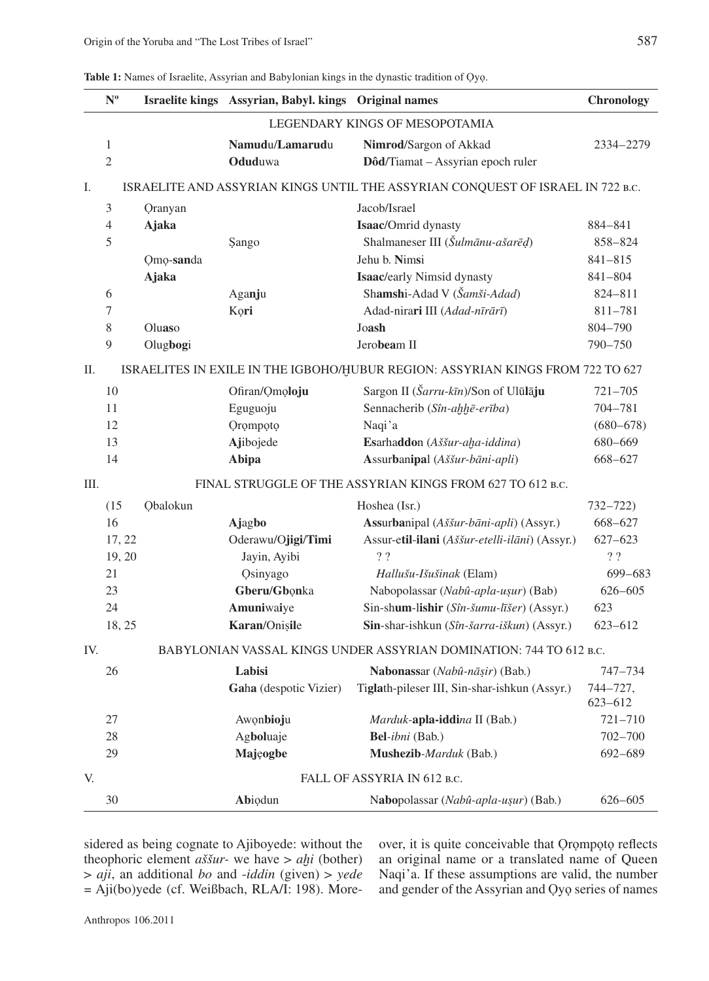**Table 1:** Names of Israelite, Assyrian and Babylonian kings in the dynastic tradition of Ọyọ.

|                                                                                      | $\mathbf{N}^{\text{o}}$                                                        |                             | Israelite kings Assyrian, Babyl. kings Original names |                                                | <b>Chronology</b>   |
|--------------------------------------------------------------------------------------|--------------------------------------------------------------------------------|-----------------------------|-------------------------------------------------------|------------------------------------------------|---------------------|
|                                                                                      | LEGENDARY KINGS OF MESOPOTAMIA                                                 |                             |                                                       |                                                |                     |
|                                                                                      | $\mathbf{1}$                                                                   |                             | Namudu/Lamarudu                                       | Nimrod/Sargon of Akkad                         | 2334-2279           |
|                                                                                      | $\overline{2}$                                                                 |                             | Oduduwa                                               | Dôd/Tiamat - Assyrian epoch ruler              |                     |
| Ι.<br>ISRAELITE AND ASSYRIAN KINGS UNTIL THE ASSYRIAN CONQUEST OF ISRAEL IN 722 B.C. |                                                                                |                             |                                                       |                                                |                     |
|                                                                                      | 3                                                                              | <b>Qranyan</b>              |                                                       | Jacob/Israel                                   |                     |
|                                                                                      | 4                                                                              | <b>Ajaka</b>                |                                                       | Isaac/Omrid dynasty                            | 884-841             |
|                                                                                      | 5                                                                              |                             | Sango                                                 | Shalmaneser III (Šulmānu-ašarēd)               | 858-824             |
|                                                                                      |                                                                                | Qmo-sanda                   |                                                       | Jehu b. Nimsi                                  | $841 - 815$         |
|                                                                                      |                                                                                | <b>Ajaka</b>                |                                                       | Isaac/early Nimsid dynasty                     | 841-804             |
|                                                                                      | 6                                                                              |                             | Aganju                                                | Shamshi-Adad V (Šamši-Adad)                    | 824-811             |
|                                                                                      | 7                                                                              |                             | Kori                                                  | Adad-nirari III (Adad-nīrārī)                  | 811-781             |
|                                                                                      | 8                                                                              | Oluaso                      |                                                       | Joash                                          | 804-790             |
|                                                                                      | 9                                                                              | Olugbogi                    |                                                       | Jerobeam II                                    | 790-750             |
| П.                                                                                   | ISRAELITES IN EXILE IN THE IGBOHO/HUBUR REGION: ASSYRIAN KINGS FROM 722 TO 627 |                             |                                                       |                                                |                     |
|                                                                                      | 10                                                                             |                             | Ofiran/Omoloju                                        | Sargon II (Šarru-kīn)/Son of Ulūlāju           | $721 - 705$         |
|                                                                                      | 11                                                                             |                             | Eguguoju                                              | Sennacherib (Sîn-ahhē-erība)                   | 704-781             |
|                                                                                      | 12                                                                             |                             | Orompoto                                              | Naqi'a                                         | $(680 - 678)$       |
|                                                                                      | 13                                                                             |                             | Ajibojede                                             | Esarhaddon (Aššur-aha-iddina)                  | 680-669             |
|                                                                                      | 14                                                                             |                             | Abipa                                                 | Assurbanipal (Aššur-bāni-apli)                 | 668-627             |
| Ш.                                                                                   | FINAL STRUGGLE OF THE ASSYRIAN KINGS FROM 627 TO 612 B.C.                      |                             |                                                       |                                                |                     |
|                                                                                      | (15)                                                                           | Obalokun                    |                                                       | Hoshea (Isr.)                                  | $732 - 722$         |
|                                                                                      | 16                                                                             |                             | Ajagbo                                                | Assurbanipal (Aššur-bāni-apli) (Assyr.)        | 668-627             |
|                                                                                      | 17, 22                                                                         |                             | Oderawu/Ojigi/Timi                                    | Assur-etil-ilani (Aššur-etelli-ilāni) (Assyr.) | $627 - 623$         |
|                                                                                      | 19, 20                                                                         |                             | Jayin, Ayibi                                          | ?                                              | ??                  |
|                                                                                      | 21                                                                             |                             | Osinyago                                              | Hallušu-Išušinak (Elam)                        | 699-683             |
|                                                                                      | 23                                                                             |                             | Gberu/Gbonka                                          | Nabopolassar (Nabû-apla-uşur) (Bab)            | $626 - 605$         |
|                                                                                      | 24                                                                             |                             | Amuniwaiye                                            | Sin-shum-lishir (Sîn-šumu-līšer) (Assyr.)      | 623                 |
|                                                                                      | 18, 25                                                                         |                             | Karan/Onișile                                         | Sin-shar-ishkun (Sîn-šarra-iškun) (Assyr.)     | $623 - 612$         |
| BABYLONIAN VASSAL KINGS UNDER ASSYRIAN DOMINATION: 744 TO 612 B.C.<br>IV.            |                                                                                |                             |                                                       |                                                |                     |
|                                                                                      | 26                                                                             |                             | Labisi                                                | Nabonassar (Nabû-nāṣir) (Bab.)                 | 747-734             |
|                                                                                      |                                                                                |                             | Gaha (despotic Vizier)                                | Tiglath-pileser III, Sin-shar-ishkun (Assyr.)  | 744-727,<br>623-612 |
|                                                                                      | 27                                                                             |                             | Awonbioju                                             | Marduk-apla-iddina II (Bab.)                   | $721 - 710$         |
|                                                                                      | 28                                                                             |                             | Agboluaje                                             | Bel-ibni (Bab.)                                | $702 - 700$         |
|                                                                                      | 29                                                                             |                             | Majęogbe                                              | Mushezib-Marduk (Bab.)                         | 692-689             |
| V.                                                                                   |                                                                                | FALL OF ASSYRIA IN 612 B.C. |                                                       |                                                |                     |
|                                                                                      | 30                                                                             |                             | Abiodun                                               | Nabopolassar (Nabû-apla-uşur) (Bab.)           | $626 - 605$         |

sidered as being cognate to Ajiboyede: without the theophoric element *aššur-* we have > *aḫi* (bother) > *aji*, an additional *bo* and -*iddin* (given) > *yede* = Aji(bo)yede (cf. Weißbach, RLA/I: 198). Moreover, it is quite conceivable that Ọrọmpọtọ reflects an original name or a translated name of Queen Naqi'a. If these assumptions are valid, the number and gender of the Assyrian and Ọyọ series of names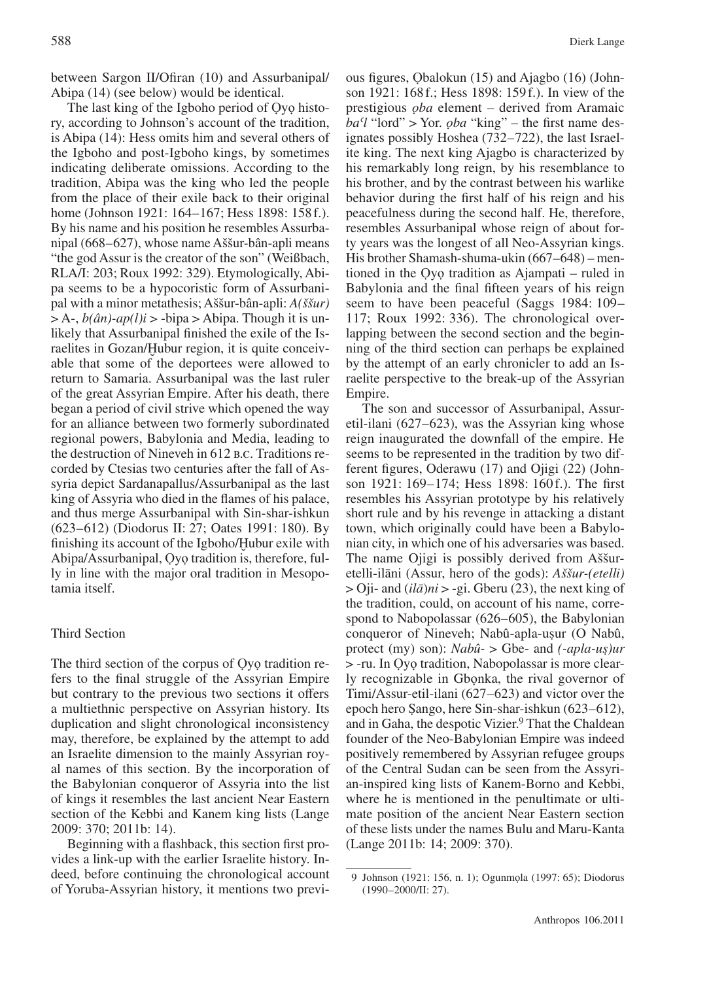between Sargon II/Ofiran (10) and Assurbanipal/ Abipa (14) (see below) would be identical.

The last king of the Igboho period of Ọyọ history, according to Johnson's account of the tradition, is Abipa (14): Hess omits him and several others of the Igboho and post-Igboho kings, by sometimes indicating deliberate omissions. According to the tradition, Abipa was the king who led the people from the place of their exile back to their original home (Johnson 1921: 164–167; Hess 1898: 158 f.). By his name and his position he resembles Assurbanipal (668– 627), whose name Aššur-bân-apli means "the god Assur is the creator of the son" (Weißbach, RLA/I: 203; Roux 1992: 329). Etymologically, Abipa seems to be a hypocoristic form of Assurbanipal with a minor metathesis; Aššur-bân-apli: *A(ššur)*  $> A<sub>7</sub>, b(\hat{a}n)$ -ap(l)i  $>$ -bipa  $>$  Abipa. Though it is unlikely that Assurbanipal finished the exile of the Israelites in Gozan/Hubur region, it is quite conceivable that some of the deportees were allowed to return to Samaria. Assurbanipal was the last ruler of the great Assyrian Empire. After his death, there began a period of civil strive which opened the way for an alliance between two formerly subordinated regional powers, Babylonia and Media, leading to the destruction of Nineveh in 612 b.c. Traditions recorded by Ctesias two centuries after the fall of Assyria depict Sardanapallus/Assurbanipal as the last king of Assyria who died in the flames of his palace, and thus merge Assurbanipal with Sin-shar-ishkun (623– 612) (Diodorus II: 27; Oates 1991: 180). By finishing its account of the Igboho/Hubur exile with Abipa/Assurbanipal, Ọyọ tradition is, therefore, fully in line with the major oral tradition in Mesopotamia itself.

# Third Section

The third section of the corpus of Ọyọ tradition refers to the final struggle of the Assyrian Empire but contrary to the previous two sections it offers a multiethnic perspective on Assyrian history. Its duplication and slight chronological inconsistency may, therefore, be explained by the attempt to add an Israelite dimension to the mainly Assyrian royal names of this section. By the incorporation of the Babylonian conqueror of Assyria into the list of kings it resembles the last ancient Near Eastern section of the Kebbi and Kanem king lists (Lange 2009: 370; 2011b: 14).

Beginning with a flashback, this section first provides a link-up with the earlier Israelite history. Indeed, before continuing the chronological account of Yoruba-Assyrian history, it mentions two previous figures, Ọbalokun (15) and Ajagbo (16) (Johnson 1921: 168f.; Hess 1898: 159f.). In view of the prestigious *ọba* element – derived from Aramaic *baʿl* "lord" > Yor. *ọba* "king" – the first name designates possibly Hoshea (732–722), the last Israelite king. The next king Ajagbo is characterized by his remarkably long reign, by his resemblance to his brother, and by the contrast between his warlike behavior during the first half of his reign and his peacefulness during the second half. He, therefore, resembles Assurbanipal whose reign of about forty years was the longest of all Neo-Assyrian kings. His brother Shamash-shuma-ukin (667–648) – mentioned in the Ọyọ tradition as Ajampati – ruled in Babylonia and the final fifteen years of his reign seem to have been peaceful (Saggs 1984: 109– 117; Roux 1992: 336). The chronological overlapping between the second section and the beginning of the third section can perhaps be explained by the attempt of an early chronicler to add an Israelite perspective to the break-up of the Assyrian Empire.

The son and successor of Assurbanipal, Assuretil-ilani  $(627-623)$ , was the Assyrian king whose reign inaugurated the downfall of the empire. He seems to be represented in the tradition by two different figures, Oderawu (17) and Ojigi (22) (Johnson 1921: 169–174; Hess 1898: 160f.). The first resembles his Assyrian prototype by his relatively short rule and by his revenge in attacking a distant town, which originally could have been a Babylonian city, in which one of his adversaries was based. The name Ojigi is possibly derived from Aššuretelli-ilāni (Assur, hero of the gods): *Aššur-(etelli)* > Oji- and (*ilā*)*ni* > -gi. Gberu (23), the next king of the tradition, could, on account of his name, correspond to Nabopolassar  $(626-605)$ , the Babylonian conqueror of Nineveh; Nabû-apla-usur (O Nabû,<br>protect (my) son); Nabû-  $\geq$  Gbe- and *Capla-us*ur protect (my) son):  $Nab\hat{u} > \text{Gbe-}$  and  $(-apla-u\hat{s})uv$ <br>  $\ge$ -ru, In Ovo tradition, Nabonolassar is more clear-> -ru. In Ọyọ tradition, Nabopolassar is more clearly recognizable in Gbọnka, the rival governor of Timi/Assur-etil-ilani (627–623) and victor over the epoch hero Sango, here Sin-shar-ishkun (623–612),<br>and in Gaba, the despotic Vizier<sup>9</sup> That the Chaldean and in Gaha, the despotic Vizier.<sup>9</sup> That the Chaldean founder of the Neo-Babylonian Empire was indeed positively remembered by Assyrian refugee groups of the Central Sudan can be seen from the Assyrian-inspired king lists of Kanem-Borno and Kebbi, where he is mentioned in the penultimate or ultimate position of the ancient Near Eastern section of these lists under the names Bulu and Maru-Kanta (Lange 2011b: 14; 2009: 370).

<sup>9</sup> Johnson (1921: 156, n. 1); Ogunmọla (1997: 65); Diodorus (1990– 2000/II: 27).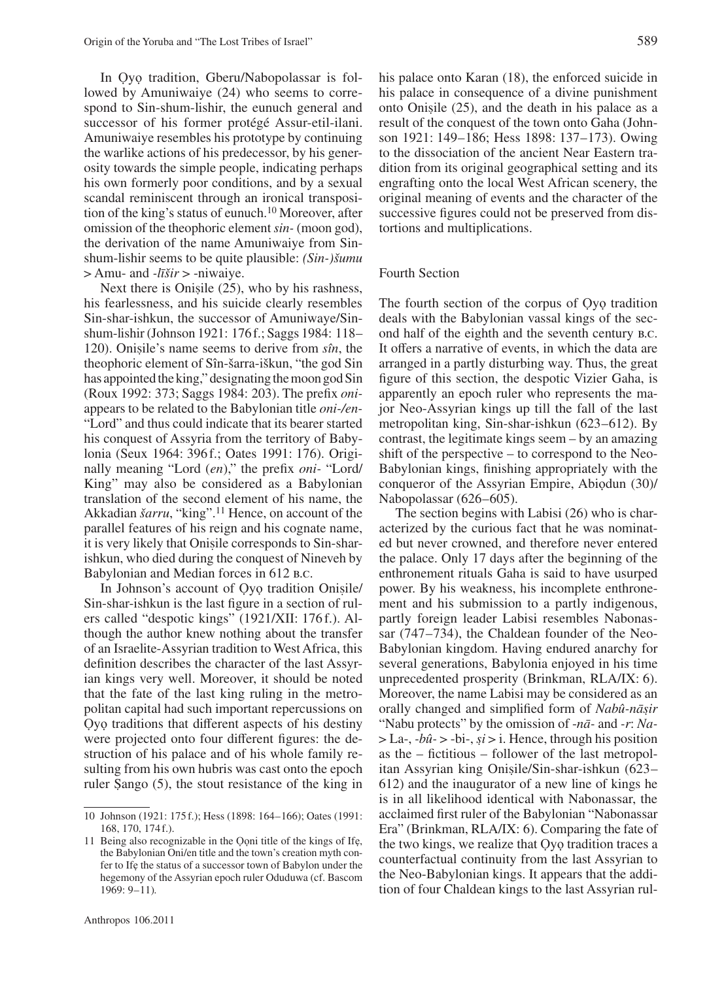In Ọyọ tradition, Gberu/Nabopolassar is followed by Amuniwaiye (24) who seems to correspond to Sin-shum-lishir, the eunuch general and successor of his former protégé Assur-etil-ilani. Amuniwaiye resembles his prototype by continuing the warlike actions of his predecessor, by his generosity towards the simple people, indicating perhaps his own formerly poor conditions, and by a sexual scandal reminiscent through an ironical transposition of the king's status of eunuch.10 Moreover, after omission of the theophoric element *sin-* (moon god), the derivation of the name Amuniwaiye from Sinshum-lishir seems to be quite plausible: *(Sin-)šumu* > Amu- and *-līšir* > -niwaiye.

Next there is Onisile  $(25)$ , who by his rashness, fearlessness, and his suicide clearly resembles his fearlessness, and his suicide clearly resembles Sin-shar-ishkun, the successor of Amuniwaye/Sinshum-lishir (Johnson 1921: 176f.; Saggs 1984: 118– 120). Onisile's name seems to derive from  $s\hat{n}$ , the theophoric element of  $S\hat{n}$ -šarra-iškun "the god  $S\hat{n}$ theophoric element of Sîn-šarra-iškun, "the god Sin has appointed the king," designating the moon god Sin (Roux 1992: 373; Saggs 1984: 203). The prefix *oni*appears to be related to the Babylonian title *oni-/en-* "Lord" and thus could indicate that its bearer started his conquest of Assyria from the territory of Babylonia (Seux 1964: 396 f.; Oates 1991: 176). Originally meaning "Lord (*en*)," the prefix *oni-* "Lord/ King" may also be considered as a Babylonian translation of the second element of his name, the Akkadian *šarru*, "king".<sup>11</sup> Hence, on account of the parallel features of his reign and his cognate name, it is very likely that Onisile corresponds to Sin-shar-<br>ishkun, who died during the conquest of Nineveh by ishkun, who died during the conquest of Nineveh by Babylonian and Median forces in 612 B.C.

In Johnson's account of Oyo tradition Onisile/<br>Lehar-ishkun is the last figure in a section of rul-Sin-shar-ishkun is the last figure in a section of rulers called "despotic kings" (1921/XII: 176 f.). Although the author knew nothing about the transfer of an Israelite-Assyrian tradition to West Africa, this definition describes the character of the last Assyrian kings very well. Moreover, it should be noted that the fate of the last king ruling in the metropolitan capital had such important repercussions on Ọyọ traditions that different aspects of his destiny were projected onto four different figures: the destruction of his palace and of his whole family resulting from his own hubris was cast onto the epoch ruler Sango (5), the stout resistance of the king in his palace onto Karan (18), the enforced suicide in his palace in consequence of a divine punishment onto Onisile  $(25)$ , and the death in his palace as a result of the conquest of the town onto Gaba (Johnresult of the conquest of the town onto Gaha (Johnson 1921: 149–186; Hess 1898: 137–173). Owing to the dissociation of the ancient Near Eastern tradition from its original geographical setting and its engrafting onto the local West African scenery, the original meaning of events and the character of the successive figures could not be preserved from distortions and multiplications.

## Fourth Section

The fourth section of the corpus of Oyo tradition deals with the Babylonian vassal kings of the second half of the eighth and the seventh century b.c. It offers a narrative of events, in which the data are arranged in a partly disturbing way. Thus, the great figure of this section, the despotic Vizier Gaha, is apparently an epoch ruler who represents the major Neo-Assyrian kings up till the fall of the last metropolitan king, Sin-shar-ishkun (623–612). By contrast, the legitimate kings seem – by an amazing shift of the perspective – to correspond to the Neo-Babylonian kings, finishing appropriately with the conqueror of the Assyrian Empire, Abiọdun (30)/ Nabopolassar (626–605).

The section begins with Labisi (26) who is characterized by the curious fact that he was nominated but never crowned, and therefore never entered the palace. Only 17 days after the beginning of the enthronement rituals Gaha is said to have usurped power. By his weakness, his incomplete enthronement and his submission to a partly indigenous, partly foreign leader Labisi resembles Nabonassar (747–734), the Chaldean founder of the Neo-Babylonian kingdom. Having endured anarchy for several generations, Babylonia enjoyed in his time unprecedented prosperity (Brinkman, RLA/IX: 6). Moreover, the name Labisi may be considered as an orally changed and simplified form of *Nabû-nāsir*<br>"Naby protects" by the omission of -*nā*- and -r: *Na-*"Nabu protects" by the omission of -*nā-* and *-r*: *Na-*  $>$  La-, *-bû-* > -bi-, *si* > i. Hence, through his position  $\sum_{i=1}^{\infty}$  as the – fictitious – follower of the last metropolitan Assyrian king Onisile/Sin-shar-ishkun (623–<br>612) and the inaugurator of a new line of kings he 612) and the inaugurator of a new line of kings he is in all likelihood identical with Nabonassar, the acclaimed first ruler of the Babylonian "Nabonassar Era" (Brinkman, RLA/IX: 6). Comparing the fate of the two kings, we realize that Ọyọ tradition traces a counterfactual continuity from the last Assyrian to the Neo-Babylonian kings. It appears that the addition of four Chaldean kings to the last Assyrian rul-

<sup>10</sup> Johnson (1921: 175 f.); Hess (1898: 164– 166); Oates (1991: 168, 170, 174f.).

<sup>11</sup> Being also recognizable in the Ọọni title of the kings of Ifẹ, the Babylonian Oni/en title and the town's creation myth confer to Ifẹ the status of a successor town of Babylon under the hegemony of the Assyrian epoch ruler Oduduwa (cf. Bascom 1969: 9– 11)*.*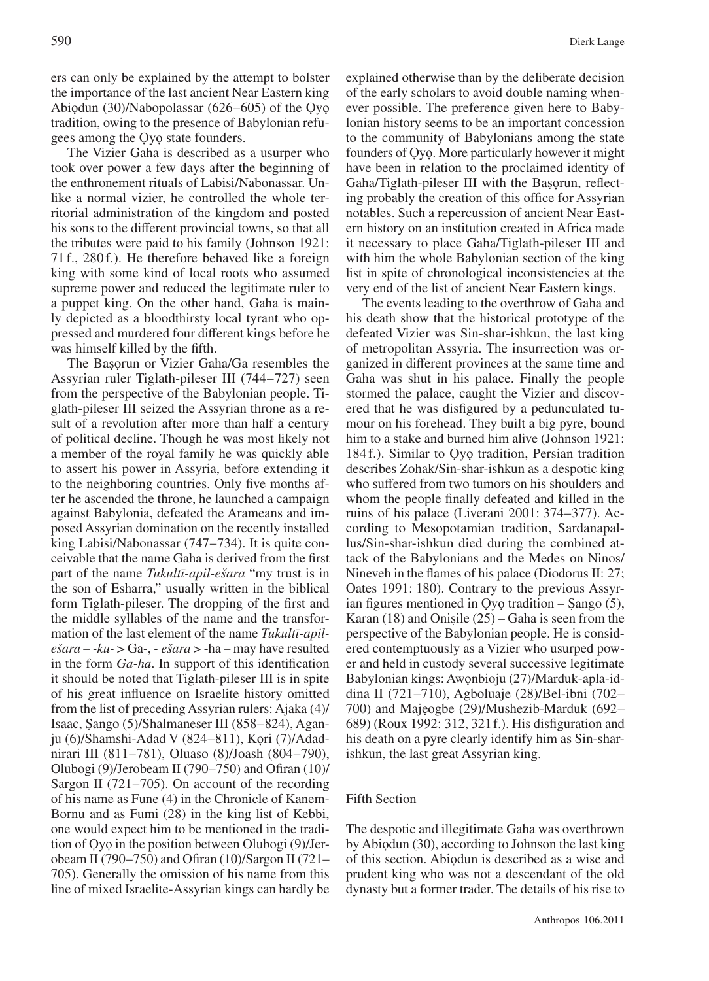ers can only be explained by the attempt to bolster the importance of the last ancient Near Eastern king Abiọdun (30)/Nabopolassar (626–605) of the Qyo tradition, owing to the presence of Babylonian refugees among the Ọyọ state founders.

The Vizier Gaha is described as a usurper who took over power a few days after the beginning of the enthronement rituals of Labisi/Nabonassar. Unlike a normal vizier, he controlled the whole territorial administration of the kingdom and posted his sons to the different provincial towns, so that all the tributes were paid to his family (Johnson 1921: 71 f., 280 f.). He therefore behaved like a foreign king with some kind of local roots who assumed supreme power and reduced the legitimate ruler to a puppet king. On the other hand, Gaha is mainly depicted as a bloodthirsty local tyrant who oppressed and murdered four different kings before he was himself killed by the fifth.

The Başorun or Vizier Gaha/Ga resembles the<br>syrian ruler Tiglath-pileser III (744–727) seen Assyrian ruler Tiglath-pileser III (744– 727) seen from the perspective of the Babylonian people. Tiglath-pileser III seized the Assyrian throne as a result of a revolution after more than half a century of political decline. Though he was most likely not a member of the royal family he was quickly able to assert his power in Assyria, before extending it to the neighboring countries. Only five months after he ascended the throne, he launched a campaign against Babylonia, defeated the Arameans and imposed Assyrian domination on the recently installed king Labisi/Nabonassar (747–734). It is quite conceivable that the name Gaha is derived from the first part of the name *Tukultī-apil-ešara* "my trust is in the son of Esharra," usually written in the biblical form Tiglath-pileser. The dropping of the first and the middle syllables of the name and the transformation of the last element of the name *Tukultī-apilešara* – *-ku-* > Ga-, *- ešara* > -ha – may have resulted in the form *Ga-ha*. In support of this identification it should be noted that Tiglath-pileser III is in spite of his great influence on Israelite history omitted from the list of preceding Assyrian rulers: Ajaka (4)/ Isaac, Şango (5)/Shalmaneser III (858–824), Agan-<br>iu (6)/Shamshi, Adad V (824–811), Kori (7)/Adad. ju (6)/Shamshi-Adad V (824–811), Kori (7)/Adadnirari III (811–781), Oluaso (8)/Joash (804–790), Olubogi (9)/Jerobeam II (790–750) and Ofiran (10)/ Sargon II (721–705). On account of the recording of his name as Fune (4) in the Chronicle of Kanem-Bornu and as Fumi (28) in the king list of Kebbi, one would expect him to be mentioned in the tradition of Ọyọ in the position between Olubogi (9)/Jerobeam II (790–750) and Ofiran (10)/Sargon II (721– 705). Generally the omission of his name from this line of mixed Israelite-Assyrian kings can hardly be

explained otherwise than by the deliberate decision of the early scholars to avoid double naming whenever possible. The preference given here to Babylonian history seems to be an important concession to the community of Babylonians among the state founders of Ọyọ. More particularly however it might have been in relation to the proclaimed identity of Gaha/Tiglath-pileser III with the Basorun, reflect-<br>ing probably the creation of this office for Assyrian ing probably the creation of this office for Assyrian notables. Such a repercussion of ancient Near Eastern history on an institution created in Africa made it necessary to place Gaha/Tiglath-pileser III and with him the whole Babylonian section of the king list in spite of chronological inconsistencies at the very end of the list of ancient Near Eastern kings.

The events leading to the overthrow of Gaha and his death show that the historical prototype of the defeated Vizier was Sin-shar-ishkun, the last king of metropolitan Assyria. The insurrection was organized in different provinces at the same time and Gaha was shut in his palace. Finally the people stormed the palace, caught the Vizier and discovered that he was disfigured by a pedunculated tumour on his forehead. They built a big pyre, bound him to a stake and burned him alive (Johnson 1921: 184 f.). Similar to Oyo tradition, Persian tradition describes Zohak/Sin-shar-ishkun as a despotic king who suffered from two tumors on his shoulders and whom the people finally defeated and killed in the ruins of his palace (Liverani 2001: 374–377). According to Mesopotamian tradition, Sardanapallus/Sin-shar-ishkun died during the combined attack of the Babylonians and the Medes on Ninos/ Nineveh in the flames of his palace (Diodorus II: 27; Oates 1991: 180). Contrary to the previous Assyrian figures mentioned in Oyọ tradition – Sango (5),<br>Karan (18) and Onisile (25) – Gaha is seen from the Karan  $(18)$  and Onisile  $(25)$  – Gaha is seen from the perspective of the Babylonian people. He is consider perspective of the Babylonian people. He is considered contemptuously as a Vizier who usurped power and held in custody several successive legitimate Babylonian kings: Awọnbioju (27)/Marduk-apla-iddina II (721–710), Agboluaje (28)/Bel-ibni (702– 700) and Majẹogbe (29)/Mushezib-Marduk (692– 689) (Roux 1992: 312, 321f.). His disfiguration and his death on a pyre clearly identify him as Sin-sharishkun, the last great Assyrian king.

# Fifth Section

The despotic and illegitimate Gaha was overthrown by Abiọdun (30), according to Johnson the last king of this section. Abiọdun is described as a wise and prudent king who was not a descendant of the old dynasty but a former trader. The details of his rise to

Anthropos 106.2011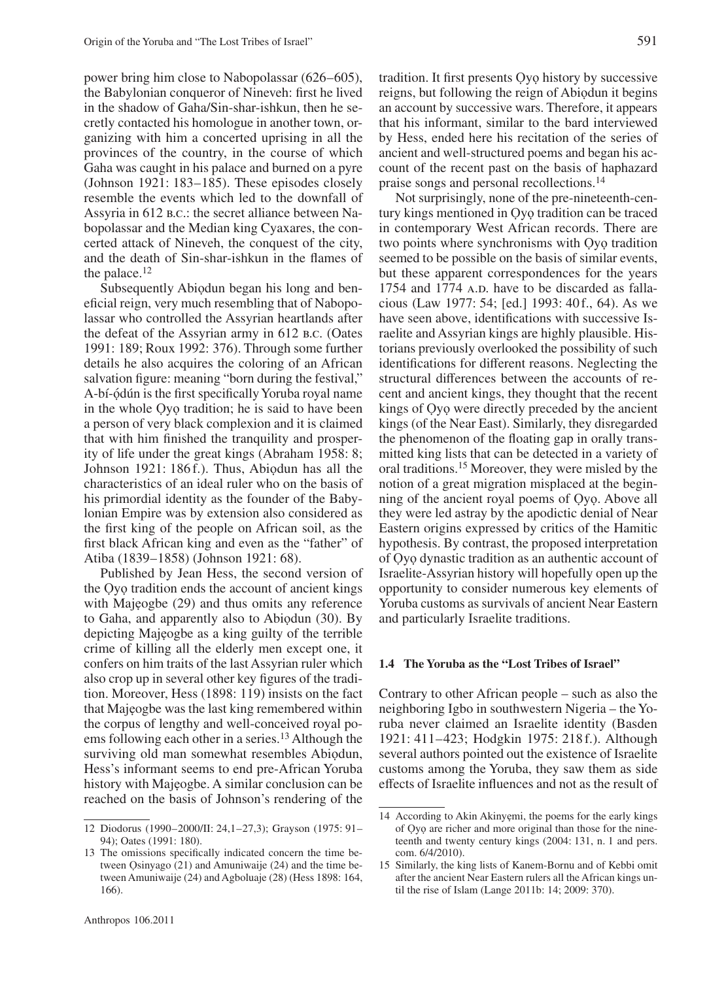power bring him close to Nabopolassar (626–605), the Babylonian conqueror of Nineveh: first he lived in the shadow of Gaha/Sin-shar-ishkun, then he secretly contacted his homologue in another town, organizing with him a concerted uprising in all the provinces of the country, in the course of which Gaha was caught in his palace and burned on a pyre (Johnson 1921:  $183-185$ ). These episodes closely resemble the events which led to the downfall of Assyria in 612 b.c.: the secret alliance between Nabopolassar and the Median king Cyaxares, the concerted attack of Nineveh, the conquest of the city, and the death of Sin-shar-ishkun in the flames of the palace.12

Subsequently Abiọdun began his long and beneficial reign, very much resembling that of Nabopolassar who controlled the Assyrian heartlands after the defeat of the Assyrian army in 612 b.c. (Oates 1991: 189; Roux 1992: 376). Through some further details he also acquires the coloring of an African salvation figure: meaning "born during the festival," A-bí-ọdún is the first specifically Yoruba royal name in the whole Ọyọ tradition; he is said to have been a person of very black complexion and it is claimed that with him finished the tranquility and prosperity of life under the great kings (Abraham 1958: 8; Johnson 1921: 186 f.). Thus, Abiodun has all the characteristics of an ideal ruler who on the basis of his primordial identity as the founder of the Babylonian Empire was by extension also considered as the first king of the people on African soil, as the first black African king and even as the "father" of Atiba (1839– 1858) (Johnson 1921: 68).

Published by Jean Hess, the second version of the Ọyọ tradition ends the account of ancient kings with Majeogbe (29) and thus omits any reference to Gaha, and apparently also to Abiọdun (30). By depicting Majẹogbe as a king guilty of the terrible crime of killing all the elderly men except one, it confers on him traits of the last Assyrian ruler which also crop up in several other key figures of the tradition. Moreover, Hess (1898: 119) insists on the fact that Majẹogbe was the last king remembered within the corpus of lengthy and well-conceived royal poems following each other in a series.<sup>13</sup> Although the surviving old man somewhat resembles Abiọdun, Hess's informant seems to end pre-African Yoruba history with Majẹogbe. A similar conclusion can be reached on the basis of Johnson's rendering of the

tradition. It first presents Ọyọ history by successive reigns, but following the reign of Abiọdun it begins an account by successive wars. Therefore, it appears that his informant, similar to the bard interviewed by Hess, ended here his recitation of the series of ancient and well-structured poems and began his account of the recent past on the basis of haphazard praise songs and personal recollections.14

Not surprisingly, none of the pre-nineteenth-century kings mentioned in Ọyọ tradition can be traced in contemporary West African records. There are two points where synchronisms with Ọyọ tradition seemed to be possible on the basis of similar events, but these apparent correspondences for the years 1754 and 1774 A.D. have to be discarded as fallacious (Law 1977: 54; [ed.] 1993: 40f., 64). As we have seen above, identifications with successive Israelite and Assyrian kings are highly plausible. Historians previously overlooked the possibility of such identifications for different reasons. Neglecting the structural differences between the accounts of recent and ancient kings, they thought that the recent kings of Ọyọ were directly preceded by the ancient kings (of the Near East). Similarly, they disregarded the phenomenon of the floating gap in orally transmitted king lists that can be detected in a variety of oral traditions.15 Moreover, they were misled by the notion of a great migration misplaced at the beginning of the ancient royal poems of Ọyọ. Above all they were led astray by the apodictic denial of Near Eastern origins expressed by critics of the Hamitic hypothesis. By contrast, the proposed interpretation of Ọyọ dynastic tradition as an authentic account of Israelite-Assyrian history will hopefully open up the opportunity to consider numerous key elements of Yoruba customs as survivals of ancient Near Eastern and particularly Israelite traditions.

# **1.4 The Yoruba as the "Lost Tribes of Israel"**

Contrary to other African people – such as also the neighboring Igbo in southwestern Nigeria – the Yoruba never claimed an Israelite identity (Basden 1921: 411–423; Hodgkin 1975: 218 f.). Although several authors pointed out the existence of Israelite customs among the Yoruba, they saw them as side effects of Israelite influences and not as the result of

<sup>12</sup> Diodorus (1990–2000/II: 24,1–27,3); Grayson (1975: 91– 94); Oates (1991: 180).

<sup>13</sup> The omissions specifically indicated concern the time between Ọsinyago (21) and Amuniwaije (24) and the time between Amuniwaije (24) and Agboluaje (28) (Hess 1898: 164, 166).

<sup>14</sup> According to Akin Akinyẹmi, the poems for the early kings of Ọyọ are richer and more original than those for the nineteenth and twenty century kings (2004: 131, n. 1 and pers. com. 6/4/2010).

<sup>15</sup> Similarly, the king lists of Kanem-Bornu and of Kebbi omit after the ancient Near Eastern rulers all the African kings until the rise of Islam (Lange 2011b: 14; 2009: 370).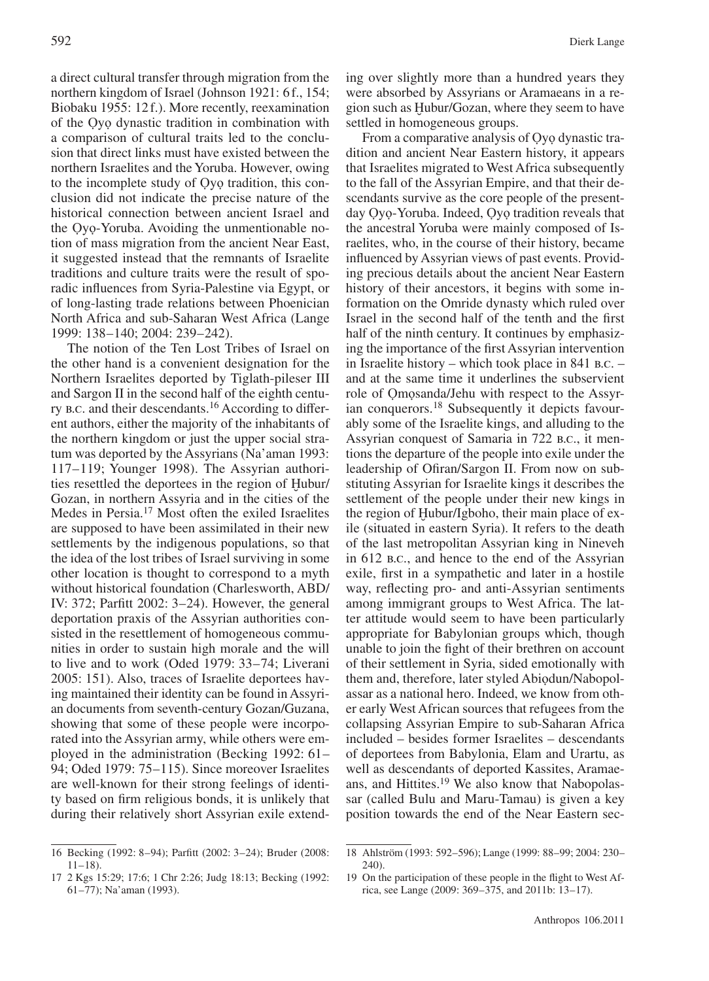a direct cultural transfer through migration from the northern kingdom of Israel (Johnson 1921: 6f., 154; Biobaku 1955: 12f.). More recently, reexamination of the Ọyọ dynastic tradition in combination with a comparison of cultural traits led to the conclusion that direct links must have existed between the northern Israelites and the Yoruba. However, owing to the incomplete study of Ọyọ tradition, this conclusion did not indicate the precise nature of the historical connection between ancient Israel and the Ọyọ-Yoruba. Avoiding the unmentionable notion of mass migration from the ancient Near East, it suggested instead that the remnants of Israelite traditions and culture traits were the result of sporadic influences from Syria-Palestine via Egypt, or of long-lasting trade relations between Phoenician North Africa and sub-Saharan West Africa (Lange 1999: 138– 140; 2004: 239– 242).

The notion of the Ten Lost Tribes of Israel on the other hand is a convenient designation for the Northern Israelites deported by Tiglath-pileser III and Sargon II in the second half of the eighth century b.c. and their descendants.16 According to different authors, either the majority of the inhabitants of the northern kingdom or just the upper social stratum was deported by the Assyrians (Na'aman 1993: 117– 119; Younger 1998). The Assyrian authorities resettled the deportees in the region of Hubur/ Gozan, in northern Assyria and in the cities of the Medes in Persia.17 Most often the exiled Israelites are supposed to have been assimilated in their new settlements by the indigenous populations, so that the idea of the lost tribes of Israel surviving in some other location is thought to correspond to a myth without historical foundation (Charlesworth, ABD/ IV: 372; Parfitt 2002: 3–24). However, the general deportation praxis of the Assyrian authorities consisted in the resettlement of homogeneous communities in order to sustain high morale and the will to live and to work (Oded 1979: 33–74; Liverani 2005: 151). Also, traces of Israelite deportees having maintained their identity can be found in Assyrian documents from seventh-century Gozan/Guzana, showing that some of these people were incorporated into the Assyrian army, while others were employed in the administration (Becking 1992: 61– 94; Oded 1979: 75–115). Since moreover Israelites are well-known for their strong feelings of identity based on firm religious bonds, it is unlikely that during their relatively short Assyrian exile extendsettled in homogeneous groups.

From a comparative analysis of Ọyọ dynastic tradition and ancient Near Eastern history, it appears that Israelites migrated to West Africa subsequently to the fall of the Assyrian Empire, and that their descendants survive as the core people of the presentday Ọyọ-Yoruba. Indeed, Ọyọ tradition reveals that the ancestral Yoruba were mainly composed of Israelites, who, in the course of their history, became influenced by Assyrian views of past events. Providing precious details about the ancient Near Eastern history of their ancestors, it begins with some information on the Omride dynasty which ruled over Israel in the second half of the tenth and the first half of the ninth century. It continues by emphasizing the importance of the first Assyrian intervention in Israelite history – which took place in 841 b.c. – and at the same time it underlines the subservient role of Ọmọsanda/Jehu with respect to the Assyrian conquerors.18 Subsequently it depicts favourably some of the Israelite kings, and alluding to the Assyrian conquest of Samaria in 722 b.c., it mentions the departure of the people into exile under the leadership of Ofiran/Sargon II. From now on substituting Assyrian for Israelite kings it describes the settlement of the people under their new kings in the region of Hubur/Igboho, their main place of exile (situated in eastern Syria). It refers to the death of the last metropolitan Assyrian king in Nineveh in 612 b.c., and hence to the end of the Assyrian exile, first in a sympathetic and later in a hostile way, reflecting pro- and anti-Assyrian sentiments among immigrant groups to West Africa. The latter attitude would seem to have been particularly appropriate for Babylonian groups which, though unable to join the fight of their brethren on account of their settlement in Syria, sided emotionally with them and, therefore, later styled Abiọdun/Nabopolassar as a national hero. Indeed, we know from other early West African sources that refugees from the collapsing Assyrian Empire to sub-Saharan Africa included – besides former Israelites – descendants of deportees from Babylonia, Elam and Urartu, as well as descendants of deported Kassites, Aramaeans, and Hittites.19 We also know that Nabopolassar (called Bulu and Maru-Tamau) is given a key position towards the end of the Near Eastern sec-

<sup>16</sup> Becking (1992: 8-94); Parfitt (2002: 3-24); Bruder (2008:  $11 - 18$ ).

<sup>17</sup> 2 Kgs 15:29; 17:6; 1 Chr 2:26; Judg 18:13; Becking (1992: 61-77); Na'aman (1993).

<sup>18</sup> Ahlström (1993: 592– 596); Lange (1999: 88– 99; 2004: 230– 240).

<sup>19</sup> On the participation of these people in the flight to West Africa, see Lange (2009:  $369 - 375$ , and 2011b:  $13 - 17$ ).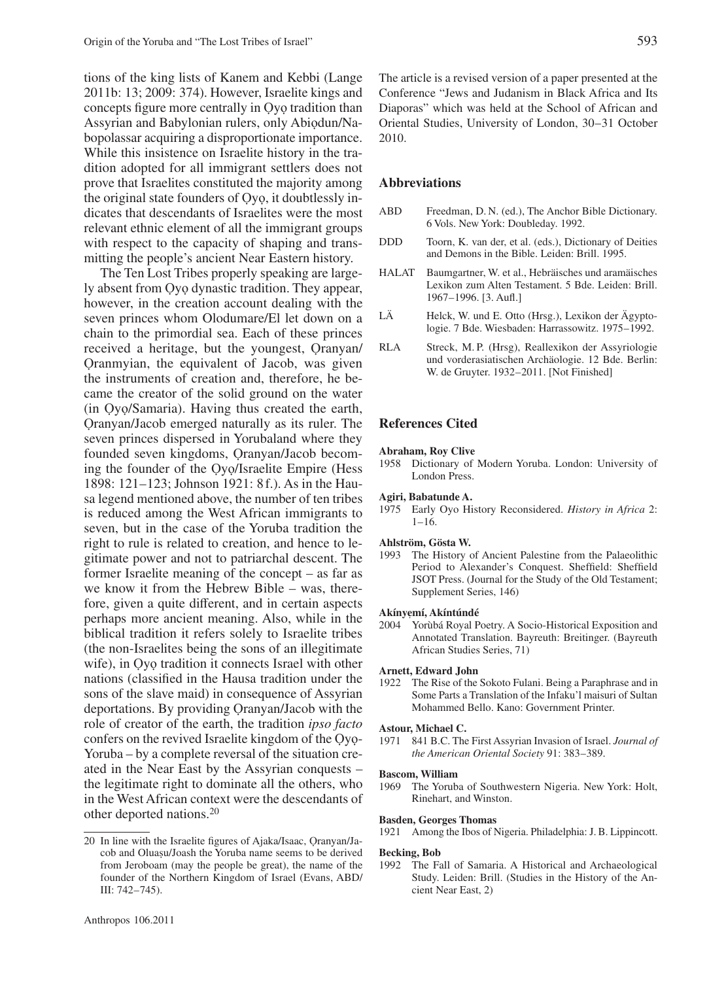tions of the king lists of Kanem and Kebbi (Lange 2011b: 13; 2009: 374). However, Israelite kings and concepts figure more centrally in Ọyọ tradition than Assyrian and Babylonian rulers, only Abiọdun/Nabopolassar acquiring a disproportionate importance. While this insistence on Israelite history in the tradition adopted for all immigrant settlers does not prove that Israelites constituted the majority among the original state founders of Ọyọ, it doubtlessly indicates that descendants of Israelites were the most relevant ethnic element of all the immigrant groups with respect to the capacity of shaping and transmitting the people's ancient Near Eastern history.

The Ten Lost Tribes properly speaking are largely absent from Ọyọ dynastic tradition. They appear, however, in the creation account dealing with the seven princes whom Olodumare/El let down on a chain to the primordial sea. Each of these princes received a heritage, but the youngest, Ọranyan/ Ọranmyian, the equivalent of Jacob, was given the instruments of creation and, therefore, he became the creator of the solid ground on the water (in Ọyọ/Samaria). Having thus created the earth, Ọranyan/Jacob emerged naturally as its ruler. The seven princes dispersed in Yorubaland where they founded seven kingdoms, Ọranyan/Jacob becoming the founder of the Ọyọ/Israelite Empire (Hess 1898: 121–123; Johnson 1921: 8 f.). As in the Hausa legend mentioned above, the number of ten tribes is reduced among the West African immigrants to seven, but in the case of the Yoruba tradition the right to rule is related to creation, and hence to legitimate power and not to patriarchal descent. The former Israelite meaning of the concept – as far as we know it from the Hebrew Bible – was, therefore, given a quite different, and in certain aspects perhaps more ancient meaning. Also, while in the biblical tradition it refers solely to Israelite tribes (the non-Israelites being the sons of an illegitimate wife), in Oyo tradition it connects Israel with other nations (classified in the Hausa tradition under the sons of the slave maid) in consequence of Assyrian deportations. By providing Ọranyan/Jacob with the role of creator of the earth, the tradition *ipso facto* confers on the revived Israelite kingdom of the Ọyọ-Yoruba – by a complete reversal of the situation created in the Near East by the Assyrian conquests – the legitimate right to dominate all the others, who in the West African context were the descendants of other deported nations.20

The article is a revised version of a paper presented at the Conference "Jews and Judanism in Black Africa and Its Diaporas" which was held at the School of African and Oriental Studies, University of London, 30-31 October 2010.

# **Abbreviations**

- ABD Freedman, D. N. (ed.), The Anchor Bible Dictionary. 6 Vols. New York: Doubleday. 1992.
- DDD Toorn, K. van der, et al. (eds.), Dictionary of Deities and Demons in the Bible. Leiden: Brill. 1995.
- HALAT Baumgartner, W. et al., Hebräisches und aramäisches Lexikon zum Alten Testament. 5 Bde. Leiden: Brill. 1967– 1996. [3. Aufl.]
- LÄ Helck, W. und E. Otto (Hrsg.), Lexikon der Ägyptologie. 7 Bde. Wiesbaden: Harrassowitz. 1975–1992.
- RLA Streck, M. P. (Hrsg), Reallexikon der Assyriologie und vorderasiatischen Archäologie. 12 Bde. Berlin: W. de Gruyter. 1932-2011. [Not Finished]

# **References Cited**

### **Abraham, Roy Clive**

1958 Dictionary of Modern Yoruba. London: University of London Press.

### **Agiri, Babatunde A.**

1975 Early Oyo History Reconsidered. *History in Africa* 2:  $1 - 16.$ 

### **Ahlström, Gösta W.**

1993 The History of Ancient Palestine from the Palaeolithic Period to Alexander's Conquest. Sheffield: Sheffield JSOT Press. (Journal for the Study of the Old Testament; Supplement Series, 146)

# **Akínyemí, Akíntúndé<br>2004 – Vorùbá Royal E**

2004 Yorùbá Royal Poetry. A Socio-Historical Exposition and Annotated Translation. Bayreuth: Breitinger. (Bayreuth African Studies Series, 71)

### **Arnett, Edward John**

1922 The Rise of the Sokoto Fulani. Being a Paraphrase and in Some Parts a Translation of the Infaku'l maisuri of Sultan Mohammed Bello. Kano: Government Printer.

### **Astour, Michael C.**

1971 841 B.C. The First Assyrian Invasion of Israel. *Journal of the American Oriental Society* 91: 383– 389.

### **Bascom, William**

1969 The Yoruba of Southwestern Nigeria. New York: Holt, Rinehart, and Winston.

# 1921 Among the Ibos of Nigeria. Philadelphia: J. B. Lippincott.

**Basden, Georges Thomas**

#### **Becking, Bob**

1992 The Fall of Samaria. A Historical and Archaeological Study. Leiden: Brill. (Studies in the History of the Ancient Near East, 2)

<sup>20</sup> In line with the Israelite figures of Ajaka/Isaac, Ọranyan/Jacob and Oluasu/Joash the Yoruba name seems to be derived from Jeroboam (may the people be great), the name of the founder of the Northern Kingdom of Israel (Evans, ABD/ III: 742– 745).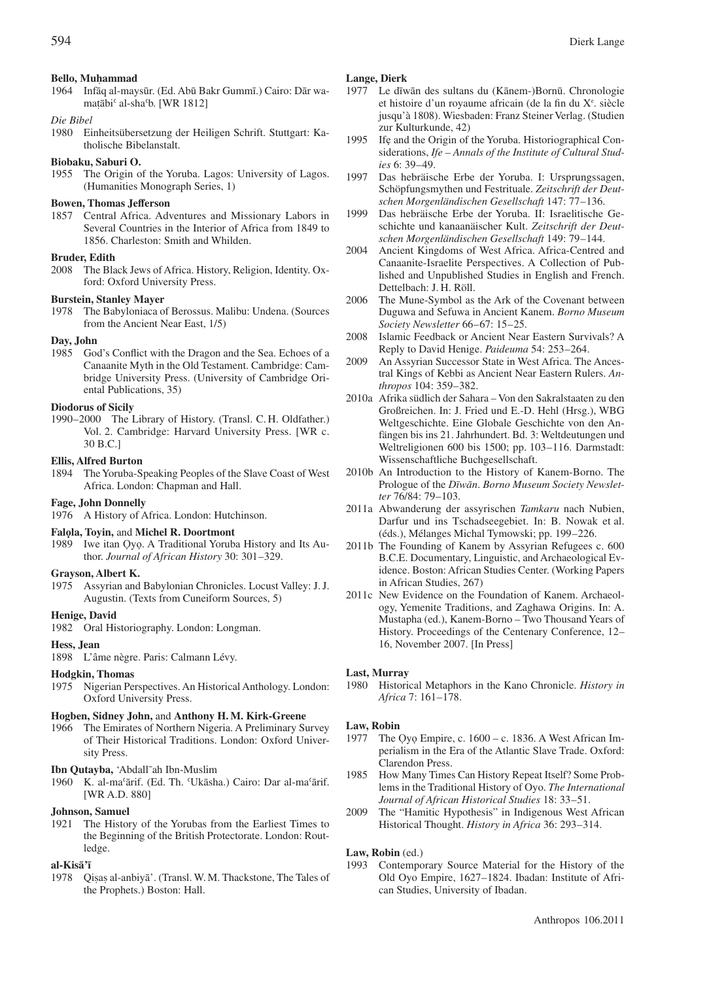# **Bello, Muhammad**<br>1964 **Infão al-may**

1964 Infāq al-maysūr. (Ed. Abū Bakr Gummī.) Cairo: Dār wamaṭābiʿ al-shaʿb. [WR 1812]<br>.

### *Die Bibel*

1980 Einheitsübersetzung der Heiligen Schrift. Stuttgart: Katholische Bibelanstalt.

# **Biobaku, Saburi O.**

1955 The Origin of the Yoruba. Lagos: University of Lagos. (Humanities Monograph Series, 1)

### **Bowen, Thomas Jefferson**

1857 Central Africa. Adventures and Missionary Labors in Several Countries in the Interior of Africa from 1849 to 1856. Charleston: Smith and Whilden.

### **Bruder, Edith**

2008 The Black Jews of Africa. History, Religion, Identity. Oxford: Oxford University Press.

### **Burstein, Stanley Mayer**

1978 The Babyloniaca of Berossus. Malibu: Undena. (Sources from the Ancient Near East, 1/5)

# **Day, John**<br>1985 Goo

God's Conflict with the Dragon and the Sea. Echoes of a Canaanite Myth in the Old Testament. Cambridge: Cambridge University Press. (University of Cambridge Oriental Publications, 35)

### **Diodorus of Sicily**

1990– 2000 The Library of History. (Transl. C. H. Oldfather.) Vol. 2. Cambridge: Harvard University Press. [WR c. 30 B.C.]

### **Ellis, Alfred Burton**

1894 The Yoruba-Speaking Peoples of the Slave Coast of West Africa. London: Chapman and Hall.

### **Fage, John Donnelly**

1976 A History of Africa. London: Hutchinson.

### **Falọla, Toyin,** and **Michel R. Doortmont**

1989 Iwe itan Ọyọ. A Traditional Yoruba History and Its Author. *Journal of African History* 30: 301-329.

### **Grayson, Albert K.**

1975 Assyrian and Babylonian Chronicles. Locust Valley: J.J. Augustin. (Texts from Cuneiform Sources, 5)

# **Henige, David**

1982 Oral Historiography. London: Longman.

### **Hess, Jean**

1898 L'âme nègre. Paris: Calmann Lévy.

# **Hodgkin, Thomas**

1975 Nigerian Perspectives. An Historical Anthology. London: Oxford University Press.

# **Hogben, Sidney John,** and **Anthony H. M. Kirk-Greene**

1966 The Emirates of Northern Nigeria. A Preliminary Survey of Their Historical Traditions. London: Oxford University Press.

### **Ibn Qutayba,** 'Abdall¯ah Ibn-Muslim

1960 K. al-maʿārif. (Ed. Th. ʿUkāsha.) Cairo: Dar al-maʿārif. [WR A.D. 880]

### **Johnson, Samuel**

1921 The History of the Yorubas from the Earliest Times to the Beginning of the British Protectorate. London: Routledge.

### **al-Kisā'ī**

1978 as al-anbiyā'. (Transl. W. M. Thackstone, The Tales of ˙ the Prophets.) Boston: Hall.

### **Lange, Dierk**

- 1977 Le dīwān des sultans du (Kānem-)Bornū. Chronologie et histoire d'un royaume africain (de la fin du X<sup>e</sup>. siècle jusqu'à 1808). Wiesbaden: Franz Steiner Verlag. (Studien zur Kulturkunde, 42)
- 1995 Ifẹ and the Origin of the Yoruba. Historiographical Considerations, *Ife – Annals of the Institute of Cultural Studies* 6: 39–49.
- 1997 Das hebräische Erbe der Yoruba. I: Ursprungssagen, Schöpfungsmythen und Festrituale. *Zeitschrift der Deutschen Morgenländischen Gesellschaft* 147: 77– 136.
- 1999 Das hebräische Erbe der Yoruba. II: Israelitische Geschichte und kanaanäischer Kult. *Zeitschrift der Deutschen Morgenländischen Gesellschaft* 149: 79– 144.
- 2004 Ancient Kingdoms of West Africa. Africa-Centred and Canaanite-Israelite Perspectives. A Collection of Published and Unpublished Studies in English and French. Dettelbach: J. H. Röll.
- 2006 The Mune-Symbol as the Ark of the Covenant between Duguwa and Sefuwa in Ancient Kanem. *Borno Museum Society Newsletter* 66–67: 15–25.
- 2008 Islamic Feedback or Ancient Near Eastern Survivals? A Reply to David Henige. *Paideuma* 54: 253– 264.
- 2009 An Assyrian Successor State in West Africa. The Ancestral Kings of Kebbi as Ancient Near Eastern Rulers. *Anthropos* 104: 359– 382.
- 2010a Afrika südlich der Sahara Von den Sakralstaaten zu den Großreichen. In: J. Fried und E.-D. Hehl (Hrsg.), WBG Weltgeschichte. Eine Globale Geschichte von den Anfängen bis ins 21. Jahrhundert. Bd. 3: Weltdeutungen und Weltreligionen 600 bis 1500; pp. 103-116. Darmstadt: Wissenschaftliche Buchgesellschaft.
- 2010b An Introduction to the History of Kanem-Borno. The Prologue of the *Dīwān*. *Borno Museum Society Newsletter* 76/84: 79– 103.
- 2011a Abwanderung der assyrischen *Tamkaru* nach Nubien, Darfur und ins Tschadseegebiet. In: B. Nowak et al. (éds.), Mélanges Michal Tymowski; pp. 199–226.
- 2011b The Founding of Kanem by Assyrian Refugees c. 600 B.C.E. Documentary, Linguistic, and Archaeological Evidence. Boston: African Studies Center. (Working Papers in African Studies, 267)
- 2011c New Evidence on the Foundation of Kanem. Archaeology, Yemenite Traditions, and Zaghawa Origins. In: A. Mustapha (ed.), Kanem-Borno – Two Thousand Years of History. Proceedings of the Centenary Conference, 12– 16, November 2007. [In Press]

### **Last, Murray**

1980 Historical Metaphors in the Kano Chronicle. *History in* Africa 7: 161-178.

### **Law, Robin**

- 1977 The Ọyọ Empire, c. 1600 c. 1836. A West African Imperialism in the Era of the Atlantic Slave Trade. Oxford: Clarendon Press.
- 1985 How Many Times Can History Repeat Itself? Some Problems in the Traditional History of Oyo. *The International Journal of African Historical Studies* 18: 33– 51.
- 2009 The "Hamitic Hypothesis" in Indigenous West African Historical Thought. *History in Africa* 36: 293-314.

### **Law, Robin** (ed.)

1993 Contemporary Source Material for the History of the Old Oyo Empire, 1627– 1824. Ibadan: Institute of African Studies, University of Ibadan.